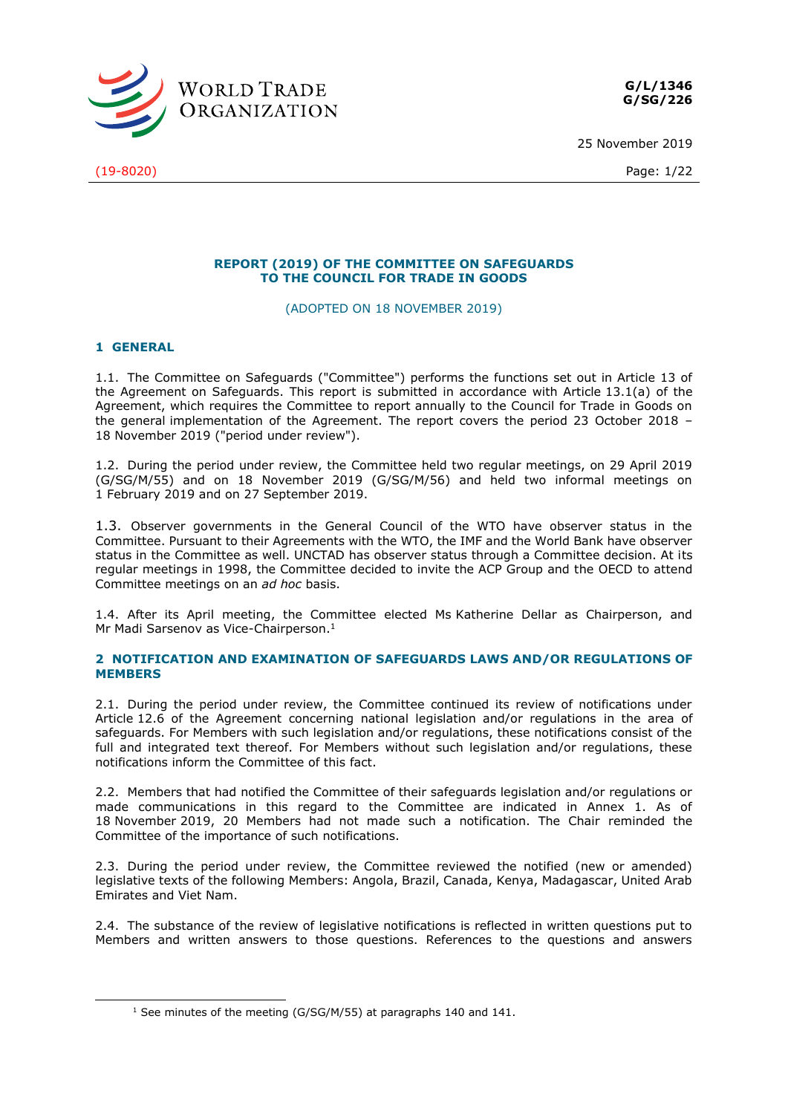

25 November 2019

(19-8020) Page: 1/22

### **REPORT (2019) OF THE COMMITTEE ON SAFEGUARDS TO THE COUNCIL FOR TRADE IN GOODS**

(ADOPTED ON 18 NOVEMBER 2019)

### **1 GENERAL**

-

1.1. The Committee on Safeguards ("Committee") performs the functions set out in Article 13 of the Agreement on Safeguards. This report is submitted in accordance with Article 13.1(a) of the Agreement, which requires the Committee to report annually to the Council for Trade in Goods on the general implementation of the Agreement. The report covers the period 23 October 2018 – 18 November 2019 ("period under review").

1.2. During the period under review, the Committee held two regular meetings, on 29 April 2019 (G/SG/M/55) and on 18 November 2019 (G/SG/M/56) and held two informal meetings on 1 February 2019 and on 27 September 2019.

1.3. Observer governments in the General Council of the WTO have observer status in the Committee. Pursuant to their Agreements with the WTO, the IMF and the World Bank have observer status in the Committee as well. UNCTAD has observer status through a Committee decision. At its regular meetings in 1998, the Committee decided to invite the ACP Group and the OECD to attend Committee meetings on an *ad hoc* basis.

1.4. After its April meeting, the Committee elected Ms Katherine Dellar as Chairperson, and Mr Madi Sarsenov as Vice-Chairperson.<sup>1</sup>

### **2 NOTIFICATION AND EXAMINATION OF SAFEGUARDS LAWS AND/OR REGULATIONS OF MEMBERS**

2.1. During the period under review, the Committee continued its review of notifications under Article 12.6 of the Agreement concerning national legislation and/or regulations in the area of safeguards. For Members with such legislation and/or regulations, these notifications consist of the full and integrated text thereof. For Members without such legislation and/or regulations, these notifications inform the Committee of this fact.

2.2. Members that had notified the Committee of their safeguards legislation and/or regulations or made communications in this regard to the Committee are indicated in Annex 1. As of 18 November 2019, 20 Members had not made such a notification. The Chair reminded the Committee of the importance of such notifications.

2.3. During the period under review, the Committee reviewed the notified (new or amended) legislative texts of the following Members: Angola, Brazil, Canada, Kenya, Madagascar, United Arab Emirates and Viet Nam.

2.4. The substance of the review of legislative notifications is reflected in written questions put to Members and written answers to those questions. References to the questions and answers

 $1$  See minutes of the meeting (G/SG/M/55) at paragraphs 140 and 141.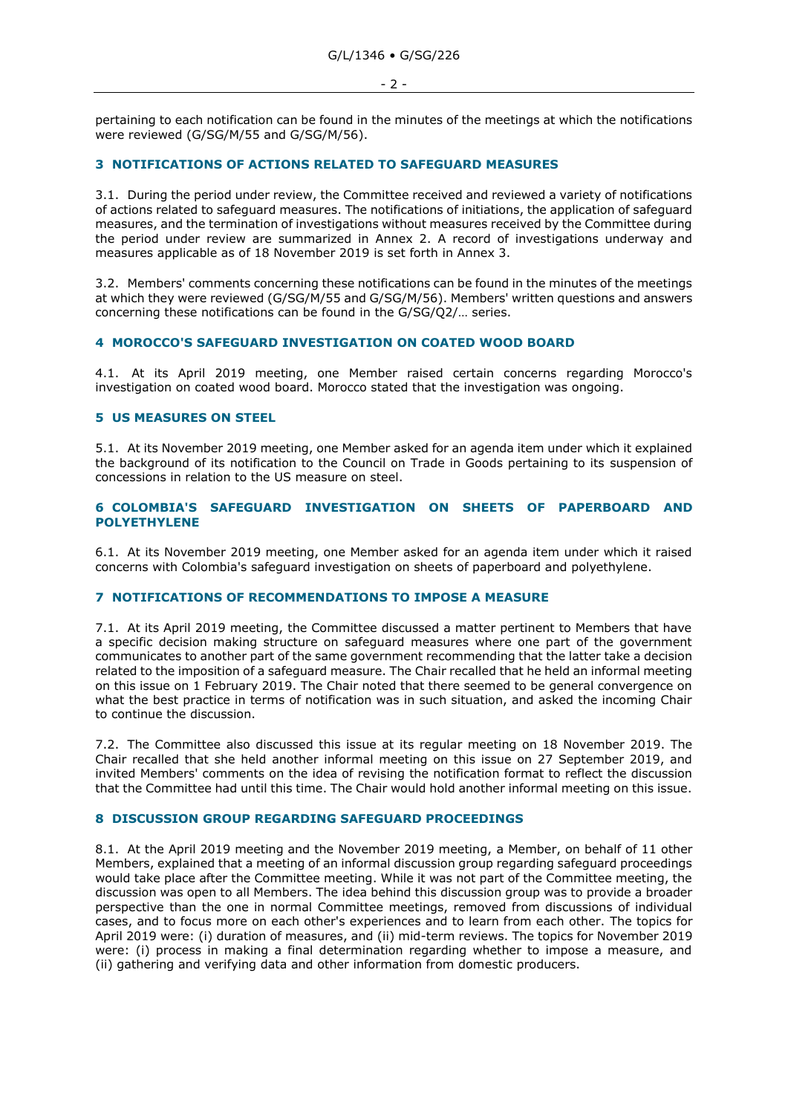pertaining to each notification can be found in the minutes of the meetings at which the notifications were reviewed (G/SG/M/55 and G/SG/M/56).

#### **3 NOTIFICATIONS OF ACTIONS RELATED TO SAFEGUARD MEASURES**

3.1. During the period under review, the Committee received and reviewed a variety of notifications of actions related to safeguard measures. The notifications of initiations, the application of safeguard measures, and the termination of investigations without measures received by the Committee during the period under review are summarized in Annex 2. A record of investigations underway and measures applicable as of 18 November 2019 is set forth in Annex 3.

3.2. Members' comments concerning these notifications can be found in the minutes of the meetings at which they were reviewed (G/SG/M/55 and G/SG/M/56). Members' written questions and answers concerning these notifications can be found in the G/SG/Q2/… series.

### **4 MOROCCO'S SAFEGUARD INVESTIGATION ON COATED WOOD BOARD**

4.1. At its April 2019 meeting, one Member raised certain concerns regarding Morocco's investigation on coated wood board. Morocco stated that the investigation was ongoing.

#### **5 US MEASURES ON STEEL**

5.1. At its November 2019 meeting, one Member asked for an agenda item under which it explained the background of its notification to the Council on Trade in Goods pertaining to its suspension of concessions in relation to the US measure on steel.

#### **6 COLOMBIA'S SAFEGUARD INVESTIGATION ON SHEETS OF PAPERBOARD AND POLYETHYLENE**

6.1. At its November 2019 meeting, one Member asked for an agenda item under which it raised concerns with Colombia's safeguard investigation on sheets of paperboard and polyethylene.

### **7 NOTIFICATIONS OF RECOMMENDATIONS TO IMPOSE A MEASURE**

7.1. At its April 2019 meeting, the Committee discussed a matter pertinent to Members that have a specific decision making structure on safeguard measures where one part of the government communicates to another part of the same government recommending that the latter take a decision related to the imposition of a safeguard measure. The Chair recalled that he held an informal meeting on this issue on 1 February 2019. The Chair noted that there seemed to be general convergence on what the best practice in terms of notification was in such situation, and asked the incoming Chair to continue the discussion.

7.2. The Committee also discussed this issue at its regular meeting on 18 November 2019. The Chair recalled that she held another informal meeting on this issue on 27 September 2019, and invited Members' comments on the idea of revising the notification format to reflect the discussion that the Committee had until this time. The Chair would hold another informal meeting on this issue.

### **8 DISCUSSION GROUP REGARDING SAFEGUARD PROCEEDINGS**

8.1. At the April 2019 meeting and the November 2019 meeting, a Member, on behalf of 11 other Members, explained that a meeting of an informal discussion group regarding safeguard proceedings would take place after the Committee meeting. While it was not part of the Committee meeting, the discussion was open to all Members. The idea behind this discussion group was to provide a broader perspective than the one in normal Committee meetings, removed from discussions of individual cases, and to focus more on each other's experiences and to learn from each other. The topics for April 2019 were: (i) duration of measures, and (ii) mid-term reviews. The topics for November 2019 were: (i) process in making a final determination regarding whether to impose a measure, and (ii) gathering and verifying data and other information from domestic producers.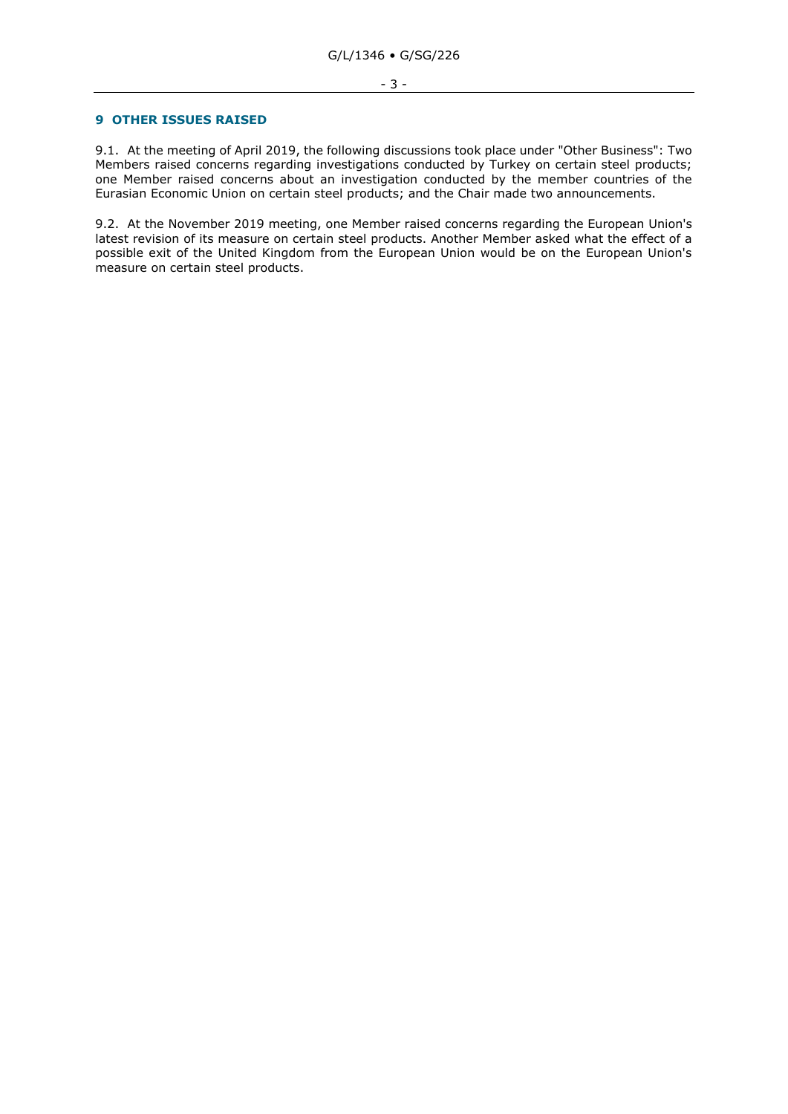#### **9 OTHER ISSUES RAISED**

9.1. At the meeting of April 2019, the following discussions took place under "Other Business": Two Members raised concerns regarding investigations conducted by Turkey on certain steel products; one Member raised concerns about an investigation conducted by the member countries of the Eurasian Economic Union on certain steel products; and the Chair made two announcements.

9.2. At the November 2019 meeting, one Member raised concerns regarding the European Union's latest revision of its measure on certain steel products. Another Member asked what the effect of a possible exit of the United Kingdom from the European Union would be on the European Union's measure on certain steel products.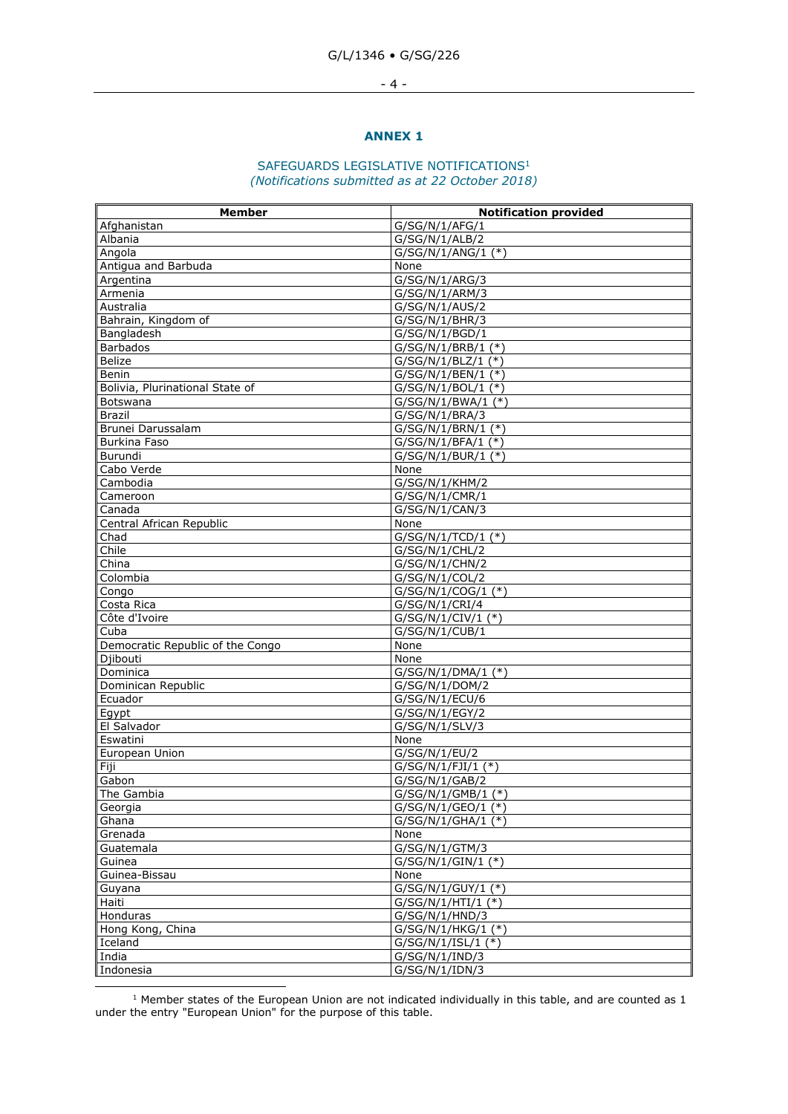#### - 4 -

#### **ANNEX 1**

### SAFEGUARDS LEGISLATIVE NOTIFICATIONS<sup>1</sup> *(Notifications submitted as at 22 October 2018)*

| <b>Member</b>                    | <b>Notification provided</b>     |
|----------------------------------|----------------------------------|
| Afghanistan                      | G/SG/N/1/AFG/1                   |
| Albania                          | G/SG/N/1/ALB/2                   |
| Angola                           | G/SG/N/1/ANG/1 (*)               |
| Antigua and Barbuda              | None                             |
| Argentina                        | G/SG/N/1/ARG/3                   |
| Armenia                          | G/SG/N/1/ARM/3                   |
| Australia                        | G/SG/N/1/AUS/2                   |
| Bahrain, Kingdom of              | G/SG/N/1/BHR/3                   |
| Bangladesh                       | G/SG/N/1/BGD/1                   |
| <b>Barbados</b>                  | G/SG/N/1/BRB/1 (*)               |
| Belize                           | $G/SG/N/1/BLZ/1$ (*)             |
| Benin                            | $G/SG/N/1/BEN/1$ (*)             |
| Bolivia, Plurinational State of  | $G/SG/N/1/BOL/1$ (*)             |
| Botswana                         | G/SG/N/1/BWA/1 (*)               |
| <b>Brazil</b>                    | G/SG/N/1/BRA/3                   |
| Brunei Darussalam                | $G/SG/N/1/BRN/1$ (*)             |
| <b>Burkina Faso</b>              | $G/SG/N/1/BFA/1$ (*)             |
| Burundi                          | G/SG/N/1/BUR/1 (*)               |
| Cabo Verde<br>Cambodia           | None<br>G/SG/N/1/KHM/2           |
|                                  |                                  |
| Cameroon<br>Canada               | G/SG/N/1/CMR/1<br>G/SG/N/1/CAN/3 |
| Central African Republic         | None                             |
| Chad                             | $G/SG/N/1/TCD/1$ (*)             |
| Chile                            | G/SG/N/1/CHL/2                   |
| China                            | G/SG/N/1/CHN/2                   |
| Colombia                         | G/SG/N/1/COL/2                   |
| Congo                            | $G/SG/N/1/COG/1$ (*)             |
| Costa Rica                       | G/SG/N/1/CRI/4                   |
| Côte d'Ivoire                    | $G/SG/N/1/CIV/1$ (*)             |
| Cuba                             | G/SG/N/1/CUB/1                   |
| Democratic Republic of the Congo | None                             |
| Djibouti                         | None                             |
| Dominica                         | G/SG/N/1/DMA/1 (*)               |
| Dominican Republic               | G/SG/N/1/DOM/2                   |
| Ecuador                          | G/SG/N/1/ECU/6                   |
| Egypt                            | G/SG/N/1/EGY/2                   |
| El Salvador                      | G/SG/N/1/SLV/3                   |
| Eswatini                         | None                             |
| European Union                   | G/SG/N/1/EU/2                    |
| Fiji                             | $G/SG/N/1/FJI/1$ (*)             |
| Gabon                            | G/SG/N/1/GAB/2                   |
| The Gambia                       | $G/SG/N/1/GMB/1$ (*)             |
| Georgia                          | G/SG/N/1/GEO/1 (*)               |
| Ghana                            | G/SG/N/1/GHA/1 (*)               |
| Grenada                          | None                             |
| Guatemala                        | G/SG/N/1/GTM/3                   |
| Guinea                           | $G/SG/N/1/GIN/1$ (*)             |
| Guinea-Bissau                    | None                             |
| Guyana                           | G/SG/N/1/GUY/1 (*)               |
| Haiti                            | $G/SG/N/1/HTI/1$ (*)             |
| Honduras                         | G/SG/N/1/HND/3                   |
| Hong Kong, China                 | $G/SG/N/1/HKG/1$ (*)             |
| Iceland                          | $G/SG/N/1/ISL/1$ (*)             |
| India                            | G/SG/N/1/IND/3                   |
| Indonesia                        | G/SG/N/1/IDN/3                   |
|                                  |                                  |

 $<sup>1</sup>$  Member states of the European Union are not indicated individually in this table, and are counted as 1</sup> under the entry "European Union" for the purpose of this table.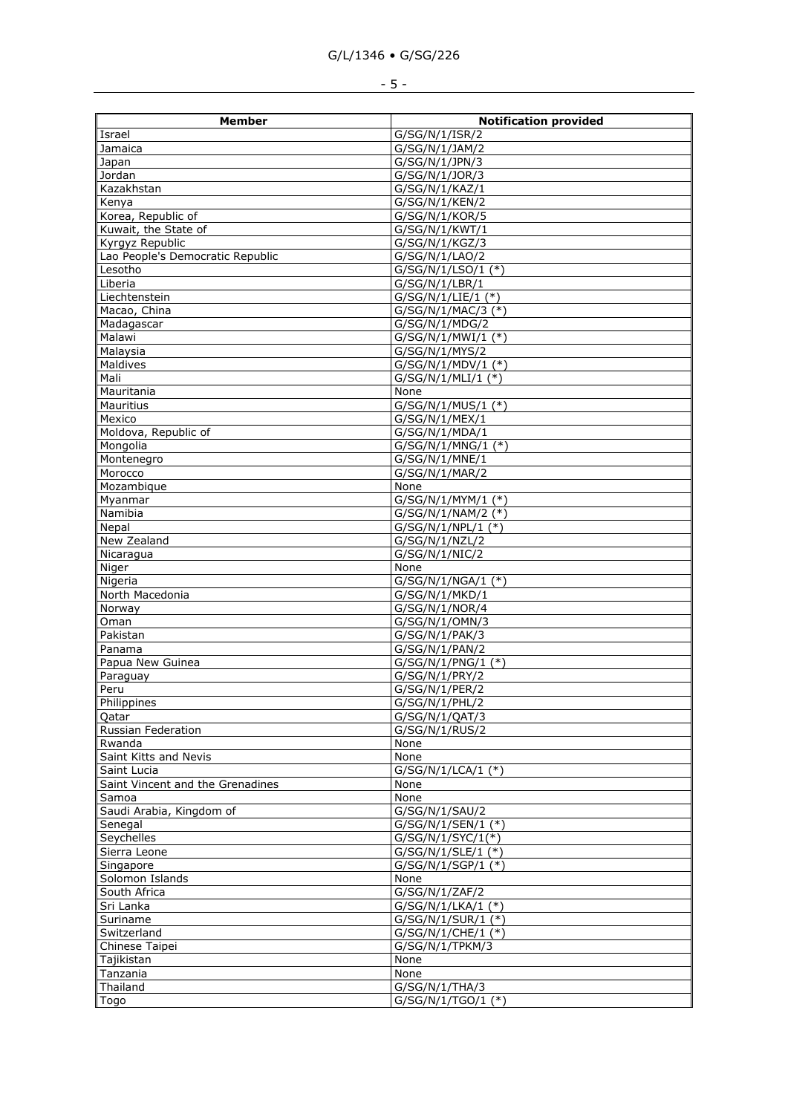| <b>Member</b>                    | <b>Notification provided</b>     |
|----------------------------------|----------------------------------|
| Israel                           | G/SG/N/1/ISR/2                   |
| Jamaica                          | G/SG/N/1/JAM/2                   |
| Japan                            | G/SG/N/1/JPN/3                   |
| Jordan                           | G/SG/N/1/JOR/3                   |
| Kazakhstan                       | G/SG/N/1/KAZ/1                   |
| Kenya                            | G/SG/N/1/KEN/2                   |
| Korea, Republic of               | G/SG/N/1/KOR/5                   |
| Kuwait, the State of             | G/SG/N/1/KWT/1                   |
| Kyrgyz Republic                  | G/SG/N/1/KGZ/3                   |
| Lao People's Democratic Republic | G/SG/N/1/LAO/2                   |
| Lesotho                          | G/SG/N/1/LSO/1 (*)               |
| Liberia                          | G/SG/N/1/LBR/1                   |
| Liechtenstein                    | G/SG/N/1/LIE/1 (*)               |
| Macao, China                     | G/SG/N/1/MAC/3 (*)               |
| Madagascar                       | G/SG/N/1/MDG/2                   |
| Malawi                           | $G/SG/N/1/MWI/1$ (*)             |
| Malaysia                         | G/SG/N/1/MYS/2                   |
| Maldives                         | $G/SG/N/1/MDV/1$ (*)             |
| Mali                             | $G/SG/N/1/MLI/1$ (*)             |
| Mauritania                       | None                             |
| <b>Mauritius</b>                 | G/SG/N/1/MUS/1 (*)               |
| Mexico                           | G/SG/N/1/MEX/1                   |
| Moldova, Republic of             | G/SG/N/1/MDA/1                   |
| Mongolia                         | G/SG/N/1/MNG/1 (*)               |
| Montenegro                       | G/SG/N/1/MNE/1                   |
| Morocco                          | G/SG/N/1/MAR/2                   |
| Mozambique                       | None                             |
| Myanmar                          | $G/SG/N/1/MYM/1$ (*)             |
| Namibia                          | G/SG/N/1/NAM/2 (*)               |
| Nepal                            | $G/SG/N/1/NPL/1$ (*)             |
| New Zealand                      | G/SG/N/1/NZL/2                   |
| Nicaragua                        | G/SG/N/1/NIC/2                   |
| Niger                            | None                             |
| Nigeria                          | G/SG/N/1/NGA/1 (*)               |
| North Macedonia<br>Norway        | G/SG/N/1/MKD/1<br>G/SG/N/1/NOR/4 |
| Oman                             | G/SG/N/1/OMN/3                   |
| Pakistan                         | G/SG/N/1/PAK/3                   |
| Panama                           | G/SG/N/1/PAN/2                   |
| Papua New Guinea                 | G/SG/N/1/PNG/1 (*)               |
| Paraguay                         | G/SG/N/1/PRY/2                   |
| Peru                             | G/SG/N/1/PER/2                   |
| Philippines                      | G/SG/N/1/PHL/2                   |
| Qatar                            | G/SG/N/1/QAT/3                   |
| Russian Federation               | G/SG/N/1/RUS/2                   |
| Rwanda                           | None                             |
| Saint Kitts and Nevis            | None                             |
| Saint Lucia                      | $\overline{G/SG/N}/1/LCA/1$ (*)  |
| Saint Vincent and the Grenadines | None                             |
| Samoa                            | None                             |
| Saudi Arabia, Kingdom of         | G/SG/N/1/SAU/2                   |
| Senegal                          | G/SG/N/1/SEN/1 (*)               |
| Seychelles                       | G/SG/N/1/SYC/1(*)                |
| Sierra Leone                     | G/SG/N/1/SLE/1 (*)               |
| Singapore                        | $G/SG/N/1/SGP/1$ (*)             |
| Solomon Islands                  | None                             |
| South Africa                     | G/SG/N/1/ZAF/2                   |
| Sri Lanka                        | $G/SG/N/1/LKA/1$ (*)             |
| Suriname                         | G/SG/N/1/SUR/1 (*)               |
| Switzerland                      | G/SG/N/1/CHE/1 (*)               |
| Chinese Taipei                   | G/SG/N/1/TPKM/3                  |
| Tajikistan                       | None                             |
| Tanzania                         | None                             |
| Thailand                         | G/SG/N/1/THA/3                   |
| Togo                             | $G/SG/N/1/TGO/1$ (*)             |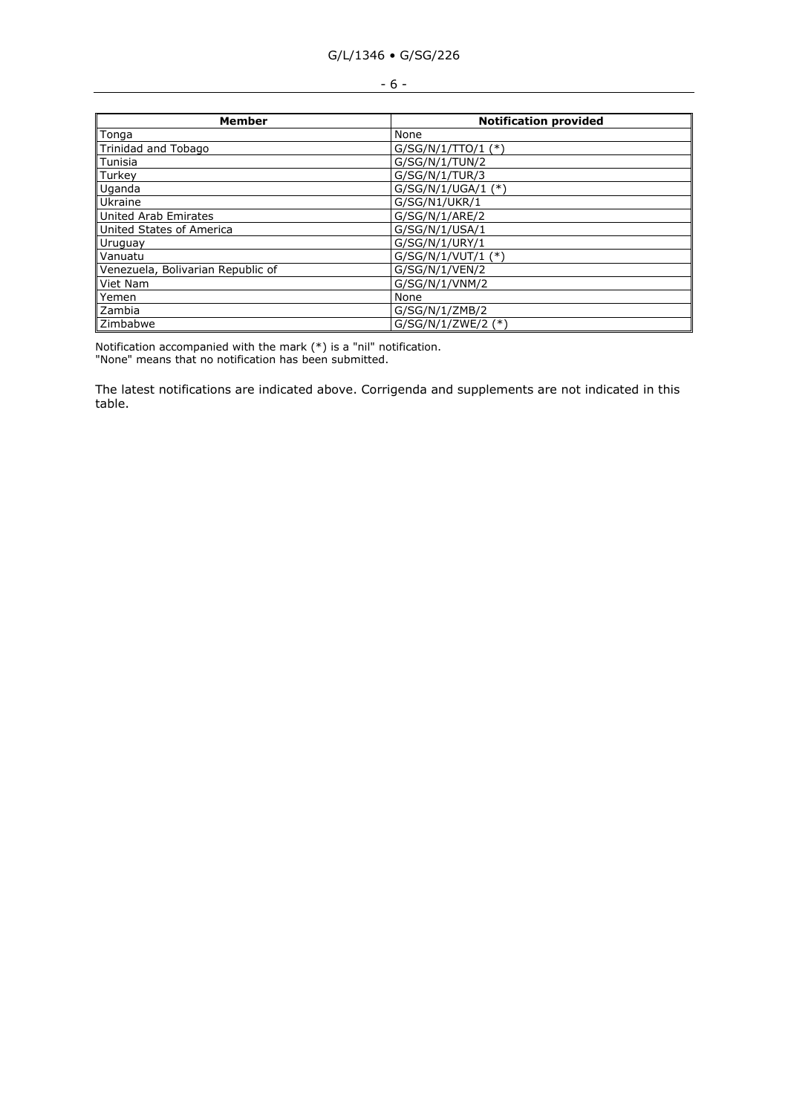|  | v<br>×<br>۰.<br>v<br>M. |  |
|--|-------------------------|--|
|--|-------------------------|--|

| Member                            | <b>Notification provided</b> |  |  |
|-----------------------------------|------------------------------|--|--|
| Tonga                             | None                         |  |  |
| Trinidad and Tobago               | $G/SG/N/1/TTO/1$ (*)         |  |  |
| Tunisia                           | G/SG/N/1/TUN/2               |  |  |
| Turkey                            | G/SG/N/1/TUR/3               |  |  |
| Uganda                            | $G/SG/N/1/UGA/1$ (*)         |  |  |
| Ukraine                           | G/SG/N1/UKR/1                |  |  |
| United Arab Emirates              | G/SG/N/1/ARE/2               |  |  |
| United States of America          | G/SG/N/1/USA/1               |  |  |
| Uruguay                           | G/SG/N/1/URY/1               |  |  |
| Vanuatu                           | $G/SG/N/1/VUT/1$ (*)         |  |  |
| Venezuela, Bolivarian Republic of | G/SG/N/1/VEN/2               |  |  |
| Viet Nam                          | G/SG/N/1/VNM/2               |  |  |
| Yemen                             | None                         |  |  |
| Zambia                            | G/SG/N/1/ZMB/2               |  |  |
| Zimbabwe                          | $G/SG/N/1/ZWE/2$ (*)         |  |  |

Notification accompanied with the mark (\*) is a "nil" notification. "None" means that no notification has been submitted.

The latest notifications are indicated above. Corrigenda and supplements are not indicated in this table.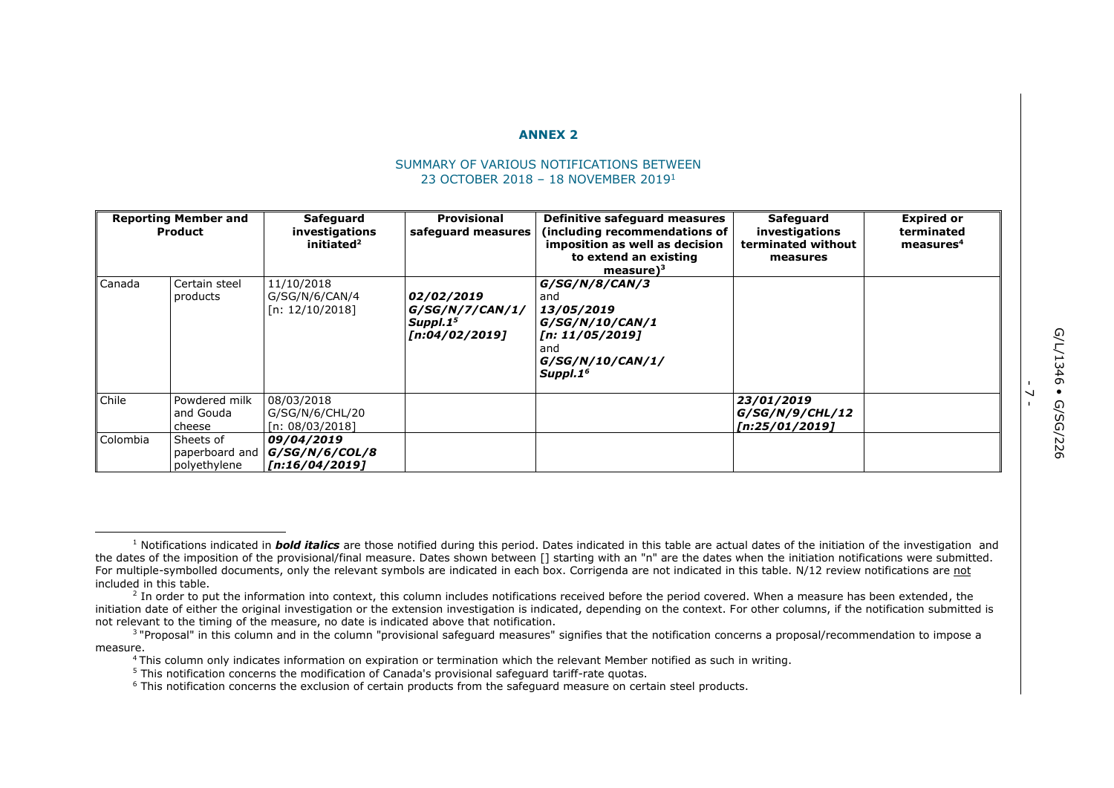#### **ANNEX 2**

#### SUMMARY OF VARIOUS NOTIFICATIONS BETWEEN 23 OCTOBER 2018 – 18 NOVEMBER 2019<sup>1</sup>

| <b>Reporting Member and</b><br>Product |                                             | Safeguard<br>investigations<br>initiated <sup>2</sup> | <b>Provisional</b><br>safeguard measures                                | Definitive safeguard measures<br>(including recommendations of<br>imposition as well as decision<br>to extend an existing<br>measure $)^3$ | Safeguard<br>investigations<br>terminated without<br>measures | <b>Expired or</b><br>terminated<br>measures <sup>4</sup> |
|----------------------------------------|---------------------------------------------|-------------------------------------------------------|-------------------------------------------------------------------------|--------------------------------------------------------------------------------------------------------------------------------------------|---------------------------------------------------------------|----------------------------------------------------------|
| Canada                                 | Certain steel<br>products                   | 11/10/2018<br>G/SG/N/6/CAN/4<br>[n: 12/10/2018]       | 02/02/2019<br>G/SG/N/7/CAN/1/<br>Supp1.1 <sup>5</sup><br>[n:04/02/2019] | G/SG/N/8/CAN/3<br>and<br>13/05/2019<br> G/SG/N/10/CAN/1<br>[n: 11/05/2019]<br>and<br>G/SG/N/10/CAN/1/<br>Suppl.1 <sup>6</sup>              |                                                               |                                                          |
| Chile                                  | Powdered milk<br>and Gouda<br>cheese        | 08/03/2018<br>G/SG/N/6/CHL/20<br>[n: 08/03/2018]      |                                                                         |                                                                                                                                            | 23/01/2019<br>G/SG/N/9/CHL/12<br>[n:25/01/2019]               |                                                          |
| Colombia                               | Sheets of<br>paperboard and<br>polyethylene | 09/04/2019<br> G/SG/N/6/COL/8 <br>  [n:16/04/2019]    |                                                                         |                                                                                                                                            |                                                               |                                                          |

 $\overline{\phantom{0}}$ -

ł <sup>1</sup> Notifications indicated in *bold italics* are those notified during this period. Dates indicated in this table are actual dates of the initiation of the investigation and the dates of the imposition of the provisional/final measure. Dates shown between [] starting with an "n" are the dates when the initiation notifications were submitted. For multiple-symbolled documents, only the relevant symbols are indicated in each box. Corrigenda are not indicated in this table. N/12 review notifications are not included in this table.

<sup>&</sup>lt;sup>2</sup> In order to put the information into context, this column includes notifications received before the period covered. When a measure has been extended, the initiation date of either the original investigation or the extension investigation is indicated, depending on the context. For other columns, if the notification submitted is not relevant to the timing of the measure, no date is indicated above that notification.

<sup>&</sup>lt;sup>3</sup> "Proposal" in this column and in the column "provisional safeguard measures" signifies that the notification concerns a proposal/recommendation to impose a measure.

<sup>4</sup> This column only indicates information on expiration or termination which the relevant Member notified as such in writing.

<sup>&</sup>lt;sup>5</sup> This notification concerns the modification of Canada's provisional safequard tariff-rate quotas.

<sup>&</sup>lt;sup>6</sup> This notification concerns the exclusion of certain products from the safeguard measure on certain steel products.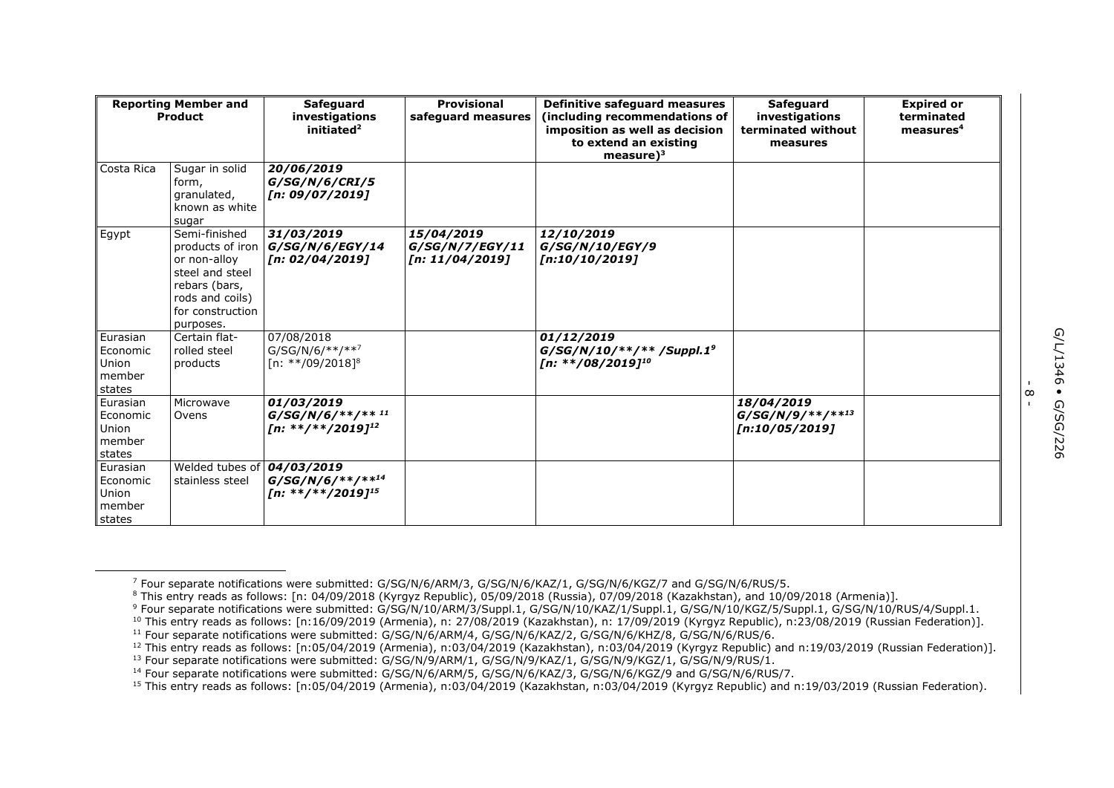| <b>Reporting Member and</b><br>Product            |                                                                                                                       | <b>Safeguard</b><br>investigations<br>initiated <sup>2</sup>                   | <b>Provisional</b><br>safeguard measures         | Definitive safeguard measures<br>(including recommendations of<br>imposition as well as decision<br>to extend an existing<br>$measure)^3$ | <b>Safeguard</b><br>investigations<br>terminated without<br>measures | <b>Expired or</b><br>terminated<br>measures <sup>4</sup> |
|---------------------------------------------------|-----------------------------------------------------------------------------------------------------------------------|--------------------------------------------------------------------------------|--------------------------------------------------|-------------------------------------------------------------------------------------------------------------------------------------------|----------------------------------------------------------------------|----------------------------------------------------------|
| Costa Rica                                        | Sugar in solid<br>form,<br>granulated,<br>known as white<br>sugar                                                     | 20/06/2019<br>G/SG/N/6/CRI/5<br>[n: 09/07/2019]                                |                                                  |                                                                                                                                           |                                                                      |                                                          |
| Egypt                                             | Semi-finished<br>or non-alloy<br>steel and steel<br>rebars (bars,<br>rods and coils)<br>for construction<br>purposes. | 31/03/2019<br>products of iron $G/SG/N/6/EGY/14$<br>[n: 02/04/2019]            | 15/04/2019<br>G/SG/N/Z/EGY/11<br>[n: 11/04/2019] | 12/10/2019<br>G/SG/N/10/EGY/9<br>[n:10/10/2019]                                                                                           |                                                                      |                                                          |
| Eurasian<br>Economic<br>Union<br>member<br>states | Certain flat-<br>rolled steel<br>products                                                                             | 07/08/2018<br>$G/SG/N/6/**/**7$<br>$[n: **/09/2018]$ <sup>8</sup>              |                                                  | 01/12/2019<br>$G/SG/N/10/**/**/Suppl.19$<br>[n: **/08/2019] <sup>10</sup>                                                                 |                                                                      |                                                          |
| Eurasian<br>Economic<br>Union<br>member<br>states | Microwave<br>Ovens                                                                                                    | 01/03/2019<br>$G/SG/N/6$ /**/** <sup>11</sup><br>[n: **/**/2019] <sup>12</sup> |                                                  |                                                                                                                                           | 18/04/2019<br>$G/SG/N/9$ /**/** <sup>13</sup><br>[n:10/05/2019]      |                                                          |
| Eurasian<br>Economic<br>Union<br>member<br>states | Welded tubes of $04/03/2019$<br>stainless steel                                                                       | $G/SG/N/6/***$ /**/14<br>[n: **/**/2019] <sup>15</sup>                         |                                                  |                                                                                                                                           |                                                                      |                                                          |

 $\infty$ -

<sup>7</sup> Four separate notifications were submitted: G/SG/N/6/ARM/3, G/SG/N/6/KAZ/1, G/SG/N/6/KGZ/7 and G/SG/N/6/RUS/5.

<sup>8</sup> This entry reads as follows: [n: 04/09/2018 (Kyrgyz Republic), 05/09/2018 (Russia), 07/09/2018 (Kazakhstan), and 10/09/2018 (Armenia)].

<sup>&</sup>lt;sup>9</sup> Four separate notifications were submitted: G/SG/N/10/ARM/3/Suppl.1, G/SG/N/10/KAZ/1/Suppl.1, G/SG/N/10/KGZ/5/Suppl.1, G/SG/N/10/RUS/4/Suppl.1.

<sup>10</sup> This entry reads as follows: [n:16/09/2019 (Armenia), n: 27/08/2019 (Kazakhstan), n: 17/09/2019 (Kyrgyz Republic), n:23/08/2019 (Russian Federation)].

<sup>11</sup> Four separate notifications were submitted: G/SG/N/6/ARM/4, G/SG/N/6/KAZ/2, G/SG/N/6/KHZ/8, G/SG/N/6/RUS/6.

<sup>12</sup> This entry reads as follows: [n:05/04/2019 (Armenia), n:03/04/2019 (Kazakhstan), n:03/04/2019 (Kyrgyz Republic) and n:19/03/2019 (Russian Federation)]. <sup>13</sup> Four separate notifications were submitted: G/SG/N/9/ARM/1, G/SG/N/9/KAZ/1, G/SG/N/9/KGZ/1, G/SG/N/9/RUS/1.

<sup>14</sup> Four separate notifications were submitted: G/SG/N/6/ARM/5, G/SG/N/6/KAZ/3, G/SG/N/6/KGZ/9 and G/SG/N/6/RUS/7.

<sup>15</sup> This entry reads as follows: [n:05/04/2019 (Armenia), n:03/04/2019 (Kazakhstan, n:03/04/2019 (Kyrgyz Republic) and n:19/03/2019 (Russian Federation).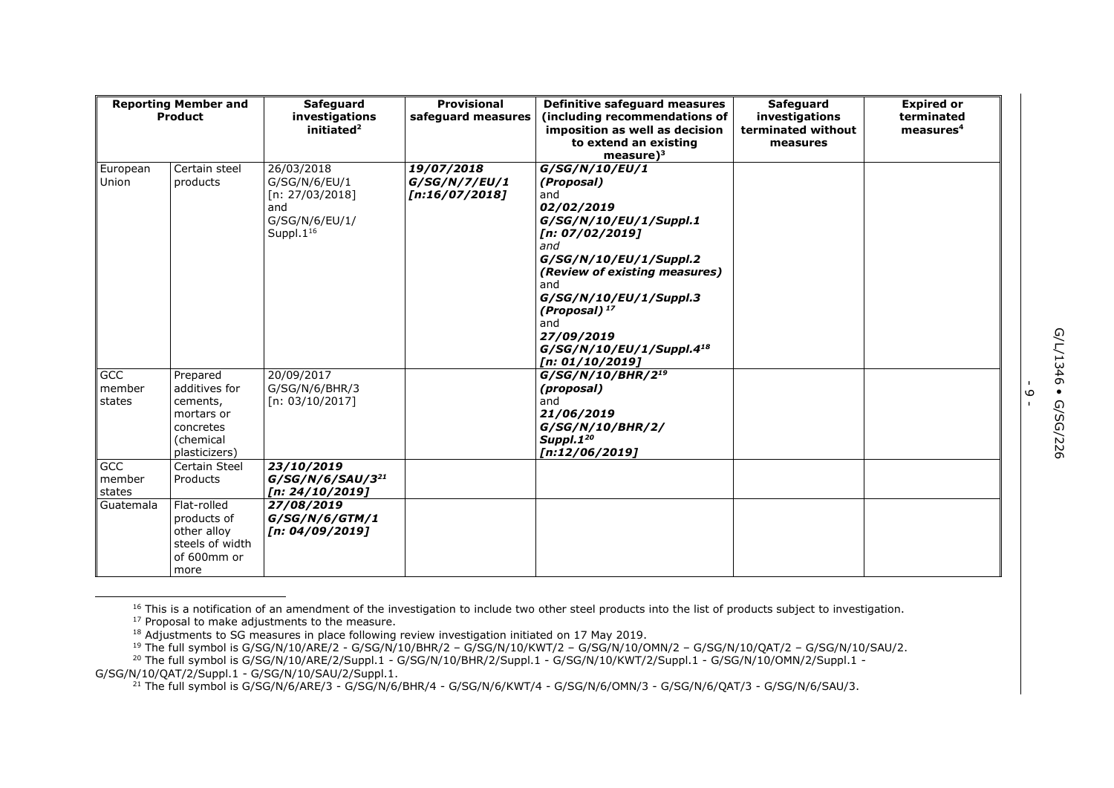| <b>Reporting Member and</b><br><b>Product</b> |                                                                                                | <b>Safeguard</b><br>investigations<br>initiated <sup>2</sup>                                  | <b>Provisional</b><br>safequard measures      | Definitive safeguard measures<br>(including recommendations of<br>imposition as well as decision<br>to extend an existing<br>measure $)^3$                                                                                                                                                           | Safeguard<br>investigations<br>terminated without<br>measures | <b>Expired or</b><br>terminated<br>measures <sup>4</sup> |
|-----------------------------------------------|------------------------------------------------------------------------------------------------|-----------------------------------------------------------------------------------------------|-----------------------------------------------|------------------------------------------------------------------------------------------------------------------------------------------------------------------------------------------------------------------------------------------------------------------------------------------------------|---------------------------------------------------------------|----------------------------------------------------------|
| European<br>Union                             | Certain steel<br>products                                                                      | 26/03/2018<br>G/SG/N/6/EU/1<br>[n: $27/03/2018$ ]<br>and<br>G/SG/N/6/EU/1/<br>Suppl. $1^{16}$ | 19/07/2018<br>G/SG/N/7/EU/1<br>[n:16/07/2018] | G/SG/N/10/EU/1<br>(Proposal)<br>and<br>02/02/2019<br>G/SG/N/10/EU/1/Suppl.1<br>[n: 07/02/2019]<br>and<br>G/SG/N/10/EU/1/Suppl.2<br>(Review of existing measures)<br>and<br>G/SG/N/10/EU/1/Suppl.3<br>(Proposal) $17$<br>and<br>27/09/2019<br>G/SG/N/10/EU/1/Suppl.4 <sup>18</sup><br>[n: 01/10/2019] |                                                               |                                                          |
| GCC<br>member<br>states                       | Prepared<br>additives for<br>cements,<br>mortars or<br>concretes<br>(chemical<br>plasticizers) | 20/09/2017<br>G/SG/N/6/BHR/3<br>[n: 03/10/2017]                                               |                                               | $G/SG/N/10/BHR/2^{19}$<br>(proposal)<br>and<br>21/06/2019<br>G/SG/N/10/BHR/2/<br>Suppl.1 <sup>20</sup><br>[n:12/06/2019]                                                                                                                                                                             |                                                               |                                                          |
| GCC<br>member<br>states                       | Certain Steel<br>Products                                                                      | 23/10/2019<br>$G/SG/N/6/SAU/3^{21}$<br>[n: 24/10/2019]                                        |                                               |                                                                                                                                                                                                                                                                                                      |                                                               |                                                          |
| Guatemala                                     | Flat-rolled<br>products of<br>other alloy<br>steels of width<br>of 600mm or<br>more            | 27/08/2019<br>G/SG/N/6/GTM/1<br>[n: 04/09/2019]                                               |                                               |                                                                                                                                                                                                                                                                                                      |                                                               |                                                          |

<sup>16</sup> This is a notification of an amendment of the investigation to include two other steel products into the list of products subject to investigation.

<sup>19</sup> The full symbol is G/SG/N/10/ARE/2 - G/SG/N/10/BHR/2 – G/SG/N/10/KWT/2 – G/SG/N/10/OMN/2 – G/SG/N/10/QAT/2 – G/SG/N/10/SAU/2. <sup>20</sup> The full symbol is G/SG/N/10/ARE/2/Suppl.1 - G/SG/N/10/BHR/2/Suppl.1 - G/SG/N/10/KWT/2/Suppl.1 - G/SG/N/10/OMN/2/Suppl.1 -

G/SG/N/10/QAT/2/Suppl.1 - G/SG/N/10/SAU/2/Suppl.1.

ł

<sup>21</sup> The full symbol is G/SG/N/6/ARE/3 - G/SG/N/6/BHR/4 - G/SG/N/6/KWT/4 - G/SG/N/6/OMN/3 - G/SG/N/6/QAT/3 - G/SG/N/6/SAU/3.

ه<br>۱

<sup>&</sup>lt;sup>17</sup> Proposal to make adjustments to the measure.

 $18$  Adjustments to SG measures in place following review investigation initiated on 17 May 2019.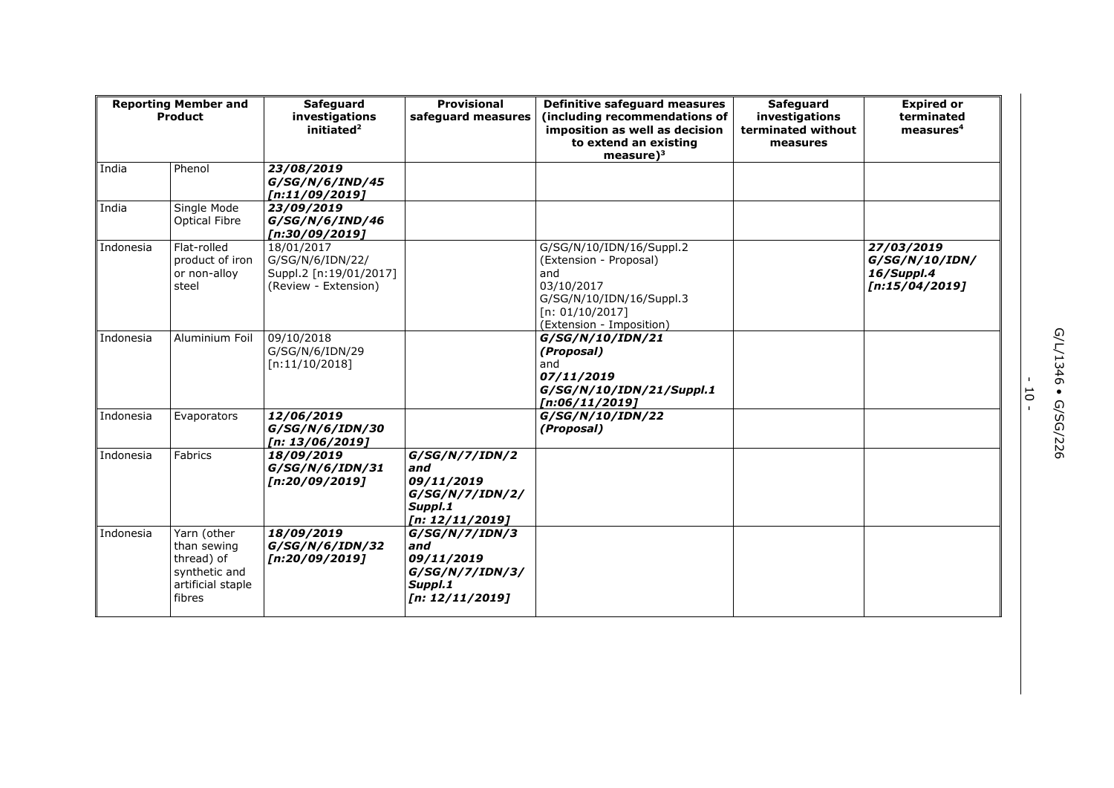| <b>Reporting Member and</b><br><b>Product</b> |                                                                                          | <b>Safeguard</b><br>investigations<br>initiated <sup>2</sup>                     | Provisional<br>safequard measures                                                    | Definitive safeguard measures<br>(including recommendations of<br>imposition as well as decision<br>to extend an existing<br>measure $)^3$         | Safeguard<br>investigations<br>terminated without<br>measures | <b>Expired or</b><br>terminated<br>measures <sup>4</sup>     |
|-----------------------------------------------|------------------------------------------------------------------------------------------|----------------------------------------------------------------------------------|--------------------------------------------------------------------------------------|----------------------------------------------------------------------------------------------------------------------------------------------------|---------------------------------------------------------------|--------------------------------------------------------------|
| India                                         | Phenol                                                                                   | 23/08/2019<br>G/SG/N/6/IND/45<br>[n:11/09/2019]                                  |                                                                                      |                                                                                                                                                    |                                                               |                                                              |
| India                                         | Single Mode<br><b>Optical Fibre</b>                                                      | 23/09/2019<br>G/SG/N/6/IND/46<br>[n:30/09/2019]                                  |                                                                                      |                                                                                                                                                    |                                                               |                                                              |
| Indonesia                                     | Flat-rolled<br>product of iron<br>or non-alloy<br>steel                                  | 18/01/2017<br>G/SG/N/6/IDN/22/<br>Suppl.2 [n:19/01/2017]<br>(Review - Extension) |                                                                                      | G/SG/N/10/IDN/16/Suppl.2<br>(Extension - Proposal)<br>and<br>03/10/2017<br>G/SG/N/10/IDN/16/Suppl.3<br>[n: 01/10/2017]<br>(Extension - Imposition) |                                                               | 27/03/2019<br>G/SG/N/10/IDN/<br>16/Suppl.4<br>[n:15/04/2019] |
| Indonesia                                     | Aluminium Foil                                                                           | 09/10/2018<br>G/SG/N/6/IDN/29<br>[n:11/10/2018]                                  |                                                                                      | G/SG/N/10/IDN/21<br>(Proposal)<br>and<br>07/11/2019<br>G/SG/N/10/IDN/21/Suppl.1<br>[n:06/11/2019]                                                  |                                                               |                                                              |
| Indonesia                                     | Evaporators                                                                              | 12/06/2019<br>G/SG/N/6/IDN/30<br>[n: 13/06/2019]                                 |                                                                                      | G/SG/N/10/IDN/22<br>(Proposal)                                                                                                                     |                                                               |                                                              |
| Indonesia                                     | Fabrics                                                                                  | 18/09/2019<br>G/SG/N/6/IDN/31<br>[n:20/09/2019]                                  | G/SG/N/7/IDN/2<br>and<br>09/11/2019<br>G/SG/N/7/IDN/2/<br>Suppl.1<br>[n: 12/11/2019] |                                                                                                                                                    |                                                               |                                                              |
| Indonesia                                     | Yarn (other<br>than sewing<br>thread) of<br>synthetic and<br>artificial staple<br>fibres | 18/09/2019<br>G/SG/N/6/IDN/32<br>[n:20/09/2019]                                  | G/SG/N/7/IDN/3<br>and<br>09/11/2019<br>G/SG/N/7/IDN/3/<br>Suppl.1<br>[n: 12/11/2019] |                                                                                                                                                    |                                                               |                                                              |

- 10 -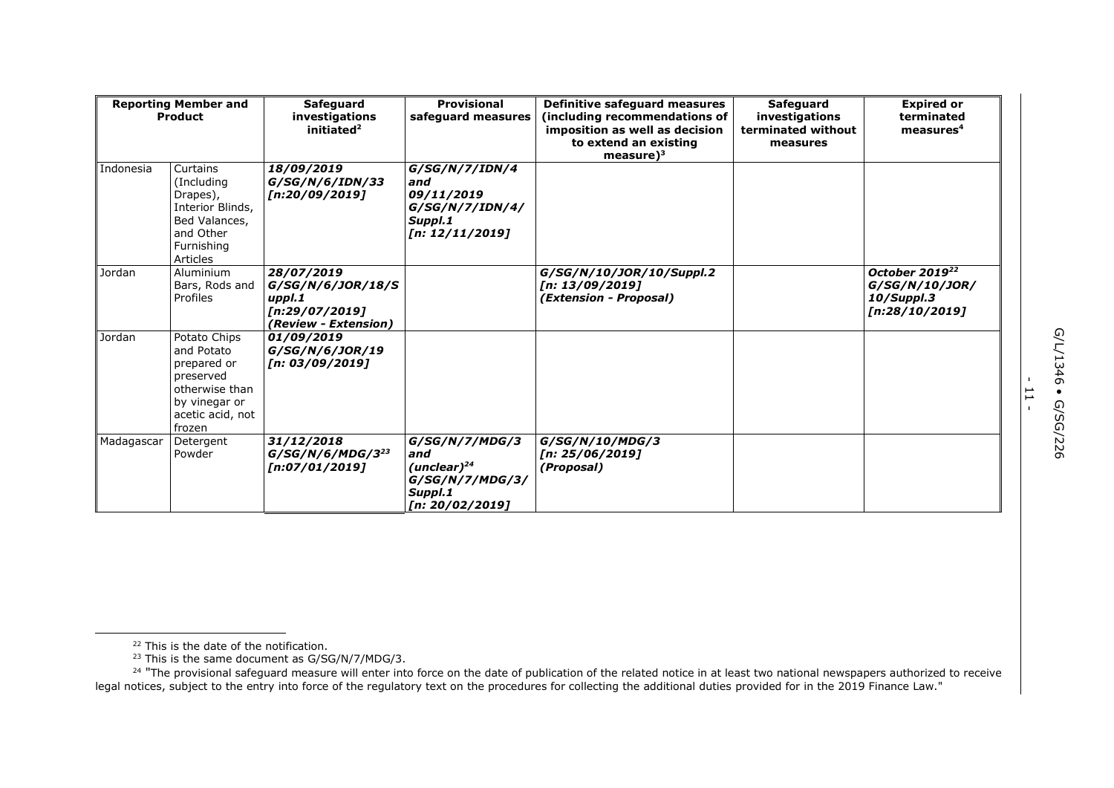| <b>Reporting Member and</b><br>Product |                                                                                                                         | <b>Provisional</b><br><b>Safeguard</b><br>investigations<br>safeguard measures<br>initiated <sup>2</sup> |                                                                                             | Definitive safeguard measures<br>(including recommendations of<br>imposition as well as decision<br>to extend an existing<br>measure $)^3$ | <b>Safeguard</b><br>investigations<br>terminated without<br>measures | <b>Expired or</b><br>terminated<br>measures <sup>4</sup>                     |
|----------------------------------------|-------------------------------------------------------------------------------------------------------------------------|----------------------------------------------------------------------------------------------------------|---------------------------------------------------------------------------------------------|--------------------------------------------------------------------------------------------------------------------------------------------|----------------------------------------------------------------------|------------------------------------------------------------------------------|
| Indonesia                              | Curtains<br>(Including)<br>Drapes),<br>Interior Blinds,<br>Bed Valances,<br>and Other<br>Furnishing<br><b>Articles</b>  | 18/09/2019<br>G/SG/N/6/IDN/33<br>[n:20/09/2019]                                                          | G/SG/N/7/IDN/4<br>and<br>09/11/2019<br>G/SG/N/7/IDN/4/<br>Suppl.1<br>[n: 12/11/2019]        |                                                                                                                                            |                                                                      |                                                                              |
| Jordan                                 | Aluminium<br>Bars, Rods and<br>Profiles                                                                                 | 28/07/2019<br>G/SG/N/6/JOR/18/S<br>uppl.1<br>[n:29/07/2019]<br>(Review - Extension)                      |                                                                                             | G/SG/N/10/JOR/10/Suppl.2<br>[n: 13/09/2019]<br>(Extension - Proposal)                                                                      |                                                                      | October 2019 <sup>22</sup><br>G/SG/N/10/JOR/<br>10/Suppl.3<br>[n:28/10/2019] |
| Jordan                                 | Potato Chips<br>and Potato<br>prepared or<br>preserved<br>otherwise than<br>by vinegar or<br>acetic acid, not<br>frozen | 01/09/2019<br>G/SG/N/6/JOR/19<br>[n: 03/09/2019]                                                         |                                                                                             |                                                                                                                                            |                                                                      |                                                                              |
| Madagascar                             | Detergent<br>Powder                                                                                                     | 31/12/2018<br>$G/SG/N/6/MDG/3^{23}$<br>[n:07/01/2019]                                                    | G/SG/N/7/MDG/3<br>and<br>(unclear) $^{24}$<br>G/SG/N/7/MDG/3/<br>Suppl.1<br>[n: 20/02/2019] | G/SG/N/10/MDG/3<br>[n: 25/06/2019]<br>(Proposal)                                                                                           |                                                                      |                                                                              |

- 11 -

<sup>&</sup>lt;sup>22</sup> This is the date of the notification.

 $23$  This is the same document as G/SG/N/7/MDG/3.

<sup>&</sup>lt;sup>24</sup> "The provisional safeguard measure will enter into force on the date of publication of the related notice in at least two national newspapers authorized to receive legal notices, subject to the entry into force of the regulatory text on the procedures for collecting the additional duties provided for in the 2019 Finance Law."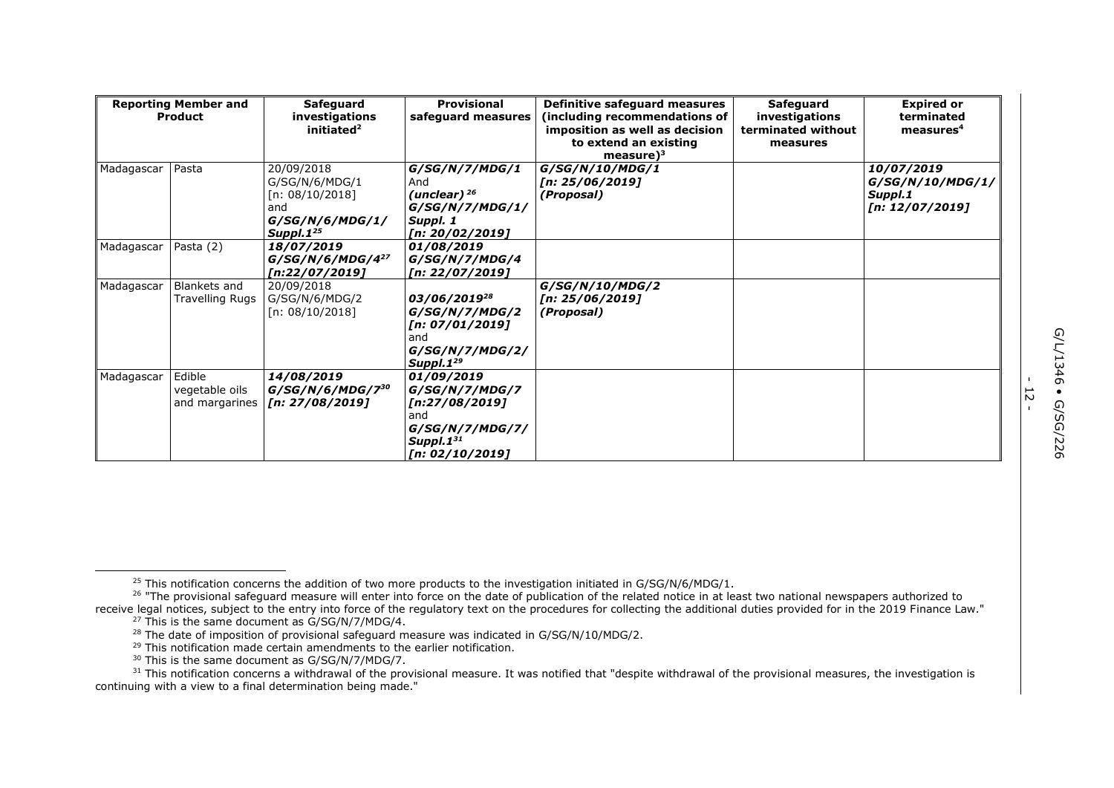| <b>Reporting Member and</b><br>Product |                                            | <b>Safeguard</b><br>investigations<br>initiated <sup>2</sup>                                       | Provisional<br>safeguard measures                                                                                    | Definitive safeguard measures<br>including recommendations of<br>imposition as well as decision<br>to extend an existing<br>measure $)^3$ | <b>Safeguard</b><br>investigations<br>terminated without<br>measures | <b>Expired or</b><br>terminated<br>measures <sup>4</sup>     |
|----------------------------------------|--------------------------------------------|----------------------------------------------------------------------------------------------------|----------------------------------------------------------------------------------------------------------------------|-------------------------------------------------------------------------------------------------------------------------------------------|----------------------------------------------------------------------|--------------------------------------------------------------|
| Madagascar                             | Pasta                                      | 20/09/2018<br>G/SG/N/6/MDG/1<br>[n: 08/10/2018]<br>and<br>G/SG/N/6/MDG/1/<br>Suppl.1 <sup>25</sup> | G/SG/N/7/MDG/1<br>And<br>(unclear) $26$<br>G/SG/N/7/MDG/1/<br>Suppl. 1<br>[n: 20/02/2019]                            | G/SG/N/10/MDG/1<br>[n: 25/06/2019]<br>(Proposal)                                                                                          |                                                                      | 10/07/2019<br>G/SG/N/10/MDG/1/<br>Suppl.1<br>[n: 12/07/2019] |
| Madagascar                             | Pasta (2)                                  | 18/07/2019<br>$G/SG/N/6/MDG/4^{27}$<br>[n:22/07/2019]                                              | 01/08/2019<br>G/SG/N/7/MDG/4<br>[n: 22/07/2019]                                                                      |                                                                                                                                           |                                                                      |                                                              |
| Madagascar                             | Blankets and<br>Travelling Rugs            | 20/09/2018<br>G/SG/N/6/MDG/2<br>[n: 08/10/2018]                                                    | 03/06/2019 <sup>28</sup><br>G/SG/N/7/MDG/2<br>[n: 07/01/2019]<br>and<br>G/SG/N/7/MDG/2/<br>Suppl.1 <sup>29</sup>     | G/SG/N/10/MDG/2<br>[n: 25/06/2019]<br>(Proposal)                                                                                          |                                                                      |                                                              |
| Madagascar                             | Edible<br>vegetable oils<br>and margarines | 14/08/2019<br>$G/SG/N/6/MDG/7^{30}$<br>[n: 27/08/2019]                                             | 01/09/2019<br>G/SG/N/7/MDG/7<br>[n:27/08/2019]<br>and<br>G/SG/N/7/MDG/7/<br>Suppl.1 <sup>31</sup><br>[n: 02/10/2019] |                                                                                                                                           |                                                                      |                                                              |

- 12 -

<sup>&</sup>lt;sup>25</sup> This notification concerns the addition of two more products to the investigation initiated in G/SG/N/6/MDG/1.

<sup>&</sup>lt;sup>26</sup> "The provisional safeguard measure will enter into force on the date of publication of the related notice in at least two national newspapers authorized to

receive legal notices, subject to the entry into force of the regulatory text on the procedures for collecting the additional duties provided for in the 2019 Finance Law." <sup>27</sup> This is the same document as G/SG/N/7/MDG/4.

<sup>&</sup>lt;sup>28</sup> The date of imposition of provisional safeguard measure was indicated in G/SG/N/10/MDG/2.

<sup>&</sup>lt;sup>29</sup> This notification made certain amendments to the earlier notification.

<sup>&</sup>lt;sup>30</sup> This is the same document as G/SG/N/7/MDG/7.

<sup>&</sup>lt;sup>31</sup> This notification concerns a withdrawal of the provisional measure. It was notified that "despite withdrawal of the provisional measures, the investigation is continuing with a view to a final determination being made."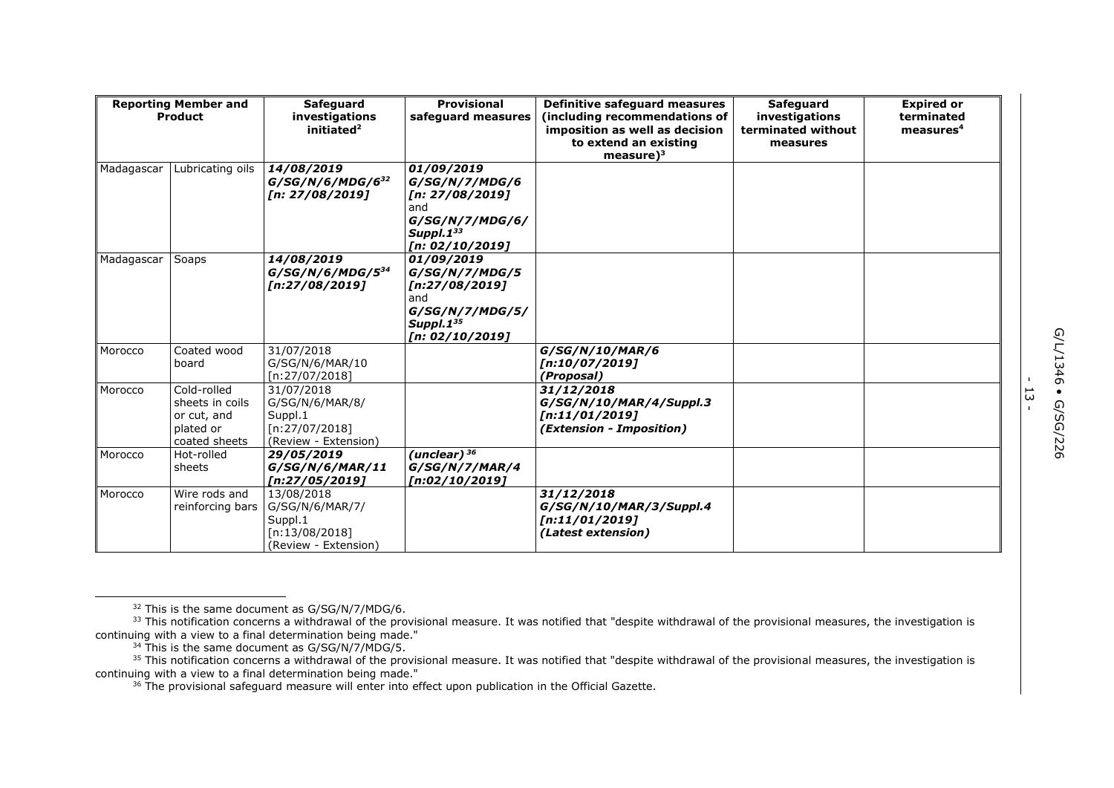| <b>Reporting Member and</b><br>Product |                                                                             | <b>Safeguard</b><br><b>Provisional</b><br>investigations<br>safequard measures<br>initiated $2$ |                                                                                                                       | Definitive safeguard measures<br>(including recommendations of<br>imposition as well as decision<br>to extend an existing<br>measure $)^3$ | <b>Safeguard</b><br>investigations<br>terminated without<br>measures | <b>Expired or</b><br>terminated<br>measures <sup>4</sup> |
|----------------------------------------|-----------------------------------------------------------------------------|-------------------------------------------------------------------------------------------------|-----------------------------------------------------------------------------------------------------------------------|--------------------------------------------------------------------------------------------------------------------------------------------|----------------------------------------------------------------------|----------------------------------------------------------|
| Madagascar                             | Lubricating oils                                                            | 14/08/2019<br>$G/SG/N/6/MDG/6^{32}$<br>[n: 27/08/2019]                                          | 01/09/2019<br>G/SG/N/7/MDG/6<br>[n: 27/08/2019]<br>and<br>G/SG/N/7/MDG/6/<br>Suppl.1 <sup>33</sup><br>[n: 02/10/2019] |                                                                                                                                            |                                                                      |                                                          |
| Madagascar                             | Soaps                                                                       | 14/08/2019<br>$G/SG/N/6/MDG/5^{34}$<br>[n:27/08/2019]                                           | 01/09/2019<br>G/SG/N/7/MDG/5<br>[n:27/08/2019]<br>and<br>G/SG/N/7/MDG/5/<br>Suppl.1 <sup>35</sup><br>[n: 02/10/2019]  |                                                                                                                                            |                                                                      |                                                          |
| Morocco                                | Coated wood<br>board                                                        | 31/07/2018<br>G/SG/N/6/MAR/10<br>[n:27/07/2018]                                                 |                                                                                                                       | G/SG/N/10/MAR/6<br>[n:10/07/2019]<br>(Proposal)                                                                                            |                                                                      |                                                          |
| Morocco                                | Cold-rolled<br>sheets in coils<br>or cut, and<br>plated or<br>coated sheets | 31/07/2018<br>G/SG/N/6/MAR/8/<br>Suppl.1<br>[n:27/07/2018]<br>(Review - Extension)              |                                                                                                                       | 31/12/2018<br>G/SG/N/10/MAR/4/Suppl.3<br>[n:11/01/2019]<br>(Extension - Imposition)                                                        |                                                                      |                                                          |
| Morocco                                | Hot-rolled<br>sheets                                                        | 29/05/2019<br>G/SG/N/6/MAR/11<br>[n:27/05/2019]                                                 | (unclear) $36$<br>G/SG/N/7/MAR/4<br>[n:02/10/2019]                                                                    |                                                                                                                                            |                                                                      |                                                          |
| Morocco                                | Wire rods and<br>reinforcing bars                                           | 13/08/2018<br>G/SG/N/6/MAR/7/<br>Suppl.1<br>[n:13/08/2018]<br>(Review - Extension)              |                                                                                                                       | 31/12/2018<br>G/SG/N/10/MAR/3/Suppl.4<br>[n:11/01/2019]<br>(Latest extension)                                                              |                                                                      |                                                          |

- ب<br>-<br>-

 $32$  This is the same document as G/SG/N/7/MDG/6.

 $33$  This notification concerns a withdrawal of the provisional measure. It was notified that "despite withdrawal of the provisional measures, the investigation is continuing with a view to a final determination being made."

 $34$  This is the same document as G/SG/N/7/MDG/5.

<sup>&</sup>lt;sup>35</sup> This notification concerns a withdrawal of the provisional measure. It was notified that "despite withdrawal of the provisional measures, the investigation is continuing with a view to a final determination being made."

<sup>&</sup>lt;sup>36</sup> The provisional safeguard measure will enter into effect upon publication in the Official Gazette.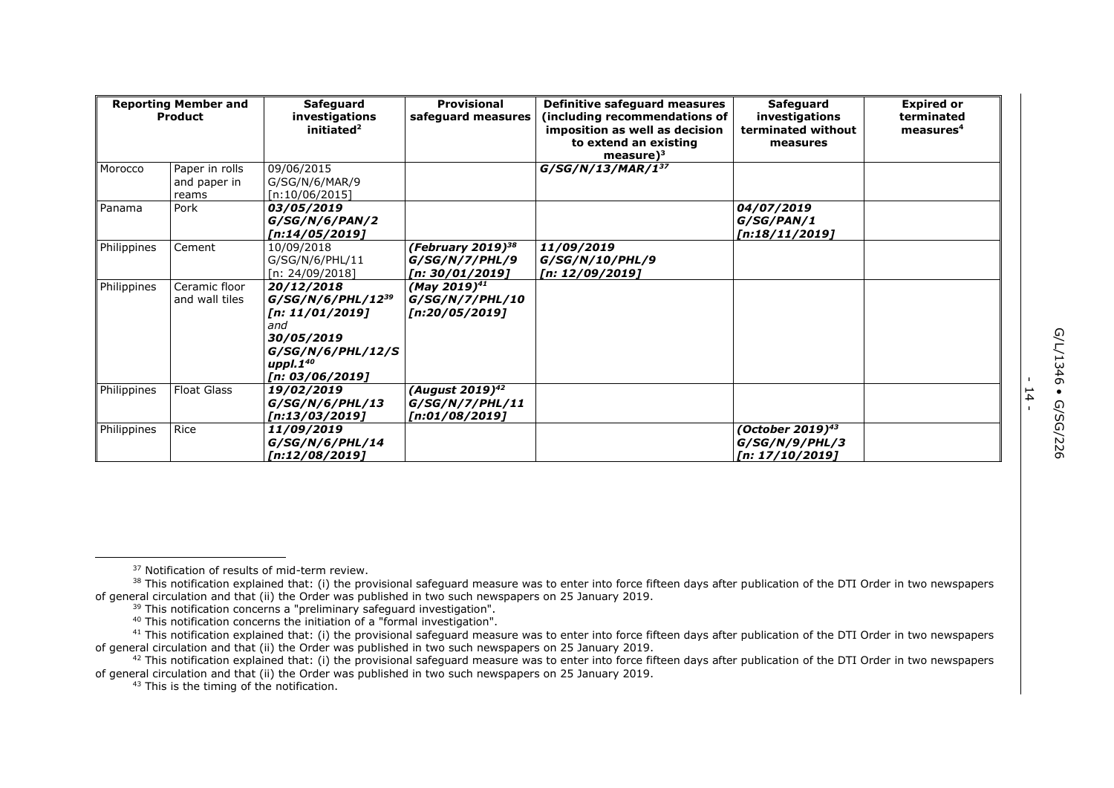|             | <b>Reporting Member and</b><br>Product  | Safeguard<br>investigations                                                                                                            | Provisional<br>safeguard measures                                  | Definitive safeguard measures<br>including recommendations of            | Safeguard<br>investigations                                       | <b>Expired or</b><br>terminated |
|-------------|-----------------------------------------|----------------------------------------------------------------------------------------------------------------------------------------|--------------------------------------------------------------------|--------------------------------------------------------------------------|-------------------------------------------------------------------|---------------------------------|
|             |                                         | initiated <sup>2</sup>                                                                                                                 |                                                                    | imposition as well as decision<br>to extend an existing<br>measure $)^3$ | terminated without<br>measures                                    | measures <sup>4</sup>           |
| Morocco     | Paper in rolls<br>and paper in<br>reams | 09/06/2015<br>G/SG/N/6/MAR/9<br>[n:10/06/2015]                                                                                         |                                                                    | $G/SG/N/13/MAR/1^{37}$                                                   |                                                                   |                                 |
| Panama      | Pork                                    | 03/05/2019<br>G/SG/N/6/PAN/2<br>[n:14/05/2019]                                                                                         |                                                                    |                                                                          | 04/07/2019<br>G/SG/PAN/1<br>[n:18/11/2019]                        |                                 |
| Philippines | Cement                                  | 10/09/2018<br>G/SG/N/6/PHL/11<br>[n: 24/09/2018]                                                                                       | (February 2019) <sup>38</sup><br>G/SG/N/7/PHL/9<br>[n: 30/01/2019] | 11/09/2019<br>G/SG/N/10/PHL/9<br>[n: 12/09/2019]                         |                                                                   |                                 |
| Philippines | Ceramic floor<br>and wall tiles         | 20/12/2018<br>$G/SG/N/6/PHL/12^{39}$<br>[n: 11/01/2019]<br>and<br>30/05/2019<br>G/SG/N/6/PHL/12/S<br>uppl. $1^{40}$<br>[n: 03/06/2019] | $(May 2019)^{41}$<br>G/SG/N/7/PHL/10<br>[n:20/05/2019]             |                                                                          |                                                                   |                                 |
| Philippines | <b>Float Glass</b>                      | 19/02/2019<br>G/SG/N/6/PHL/13<br>[n:13/03/2019]                                                                                        | (August 2019) <sup>42</sup><br>G/SG/N/Z/PHL/11<br>[n:01/08/2019]   |                                                                          |                                                                   |                                 |
| Philippines | Rice                                    | 11/09/2019<br>G/SG/N/6/PHL/14<br>[n:12/08/2019]                                                                                        |                                                                    |                                                                          | (October 2019) <sup>43</sup><br>G/SG/N/9/PHL/3<br>[n: 17/10/2019] |                                 |

- 14 -

<sup>&</sup>lt;sup>37</sup> Notification of results of mid-term review.

<sup>38</sup> This notification explained that: (i) the provisional safeguard measure was to enter into force fifteen days after publication of the DTI Order in two newspapers of general circulation and that (ii) the Order was published in two such newspapers on 25 January 2019.

<sup>&</sup>lt;sup>39</sup> This notification concerns a "preliminary safeguard investigation".

<sup>40</sup> This notification concerns the initiation of a "formal investigation".

<sup>&</sup>lt;sup>41</sup> This notification explained that: (i) the provisional safeguard measure was to enter into force fifteen days after publication of the DTI Order in two newspapers of general circulation and that (ii) the Order was published in two such newspapers on 25 January 2019.

<sup>&</sup>lt;sup>42</sup> This notification explained that: (i) the provisional safeguard measure was to enter into force fifteen days after publication of the DTI Order in two newspapers of general circulation and that (ii) the Order was published in two such newspapers on 25 January 2019.

<sup>&</sup>lt;sup>43</sup> This is the timing of the notification.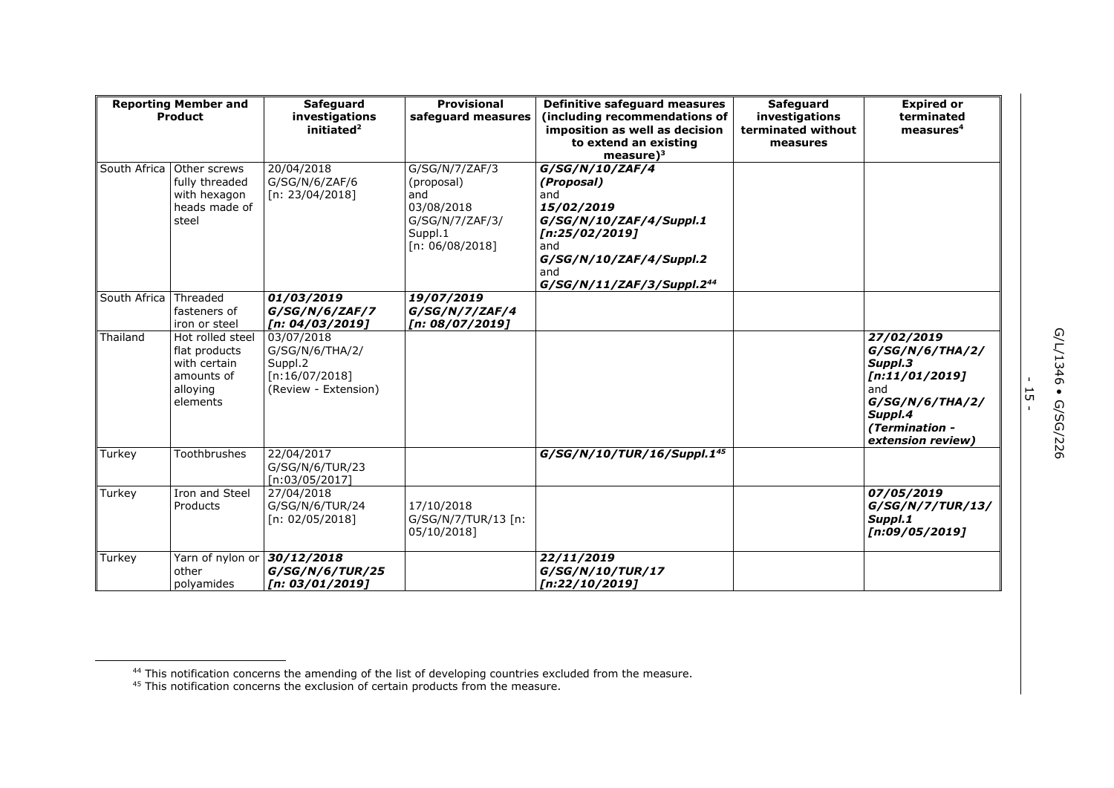| <b>Reporting Member and</b><br>Product |                                                                                         | Safeguard<br>investigations<br>initiated $2$                                       | <b>Provisional</b><br>safequard measures                                                              | Definitive safeguard measures<br>(including recommendations of<br>imposition as well as decision<br>to extend an existing<br>$measure)^3$                                         | Safeguard<br>investigations<br>terminated without<br>measures | <b>Expired or</b><br>terminated<br>measures <sup>4</sup>                                                                               |
|----------------------------------------|-----------------------------------------------------------------------------------------|------------------------------------------------------------------------------------|-------------------------------------------------------------------------------------------------------|-----------------------------------------------------------------------------------------------------------------------------------------------------------------------------------|---------------------------------------------------------------|----------------------------------------------------------------------------------------------------------------------------------------|
| South Africa                           | Other screws<br>fully threaded<br>with hexagon<br>heads made of<br>steel                | 20/04/2018<br>G/SG/N/6/ZAF/6<br>[n: 23/04/2018]                                    | G/SG/N/7/ZAF/3<br>(proposal)<br>and<br>03/08/2018<br>G/SG/N/7/ZAF/3/<br>Suppl.1<br>[n: $06/08/2018$ ] | G/SG/N/10/ZAF/4<br>(Proposal)<br>and<br>15/02/2019<br>G/SG/N/10/ZAF/4/Suppl.1<br>[n:25/02/2019]<br>and<br>G/SG/N/10/ZAF/4/Suppl.2<br>and<br>G/SG/N/11/ZAF/3/Suppl.2 <sup>44</sup> |                                                               |                                                                                                                                        |
| South Africa                           | Threaded<br>fasteners of<br>iron or steel                                               | 01/03/2019<br>G/SG/N/6/ZAF/7<br>[n: 04/03/2019]                                    | 19/07/2019<br>G/SG/N/7/ZAF/4<br>[n: 08/07/2019]                                                       |                                                                                                                                                                                   |                                                               |                                                                                                                                        |
| Thailand                               | Hot rolled steel<br>flat products<br>with certain<br>amounts of<br>alloying<br>elements | 03/07/2018<br>G/SG/N/6/THA/2/<br>Suppl.2<br>[n:16/07/2018]<br>(Review - Extension) |                                                                                                       |                                                                                                                                                                                   |                                                               | 27/02/2019<br>G/SG/N/6/THA/2/<br>Suppl.3<br>[n:11/01/2019]<br>and<br>G/SG/N/6/THA/2/<br>Suppl.4<br>(Termination -<br>extension review) |
| Turkey                                 | Toothbrushes                                                                            | 22/04/2017<br>G/SG/N/6/TUR/23<br>[n:03/05/2017]                                    |                                                                                                       | G/SG/N/10/TUR/16/Suppl.145                                                                                                                                                        |                                                               |                                                                                                                                        |
| Turkey                                 | Iron and Steel<br>Products                                                              | 27/04/2018<br>G/SG/N/6/TUR/24<br>[n: 02/05/2018]                                   | 17/10/2018<br>G/SG/N/7/TUR/13 [n:<br>05/10/2018]                                                      |                                                                                                                                                                                   |                                                               | 07/05/2019<br>G/SG/N/7/TUR/13/<br>Suppl.1<br>[n:09/05/2019]                                                                            |
| Turkey                                 | Yarn of nylon or<br>other<br>polyamides                                                 | 30/12/2018<br>G/SG/N/6/TUR/25<br>[n: 03/01/2019]                                   |                                                                                                       | 22/11/2019<br>G/SG/N/10/TUR/17<br>[n:22/10/2019]                                                                                                                                  |                                                               |                                                                                                                                        |

G/L/1346 • G/SG/226 G/L/1346 • G/SG/226

- <del>רו</del><br>י

<sup>&</sup>lt;sup>44</sup> This notification concerns the amending of the list of developing countries excluded from the measure.

 $45$  This notification concerns the exclusion of certain products from the measure.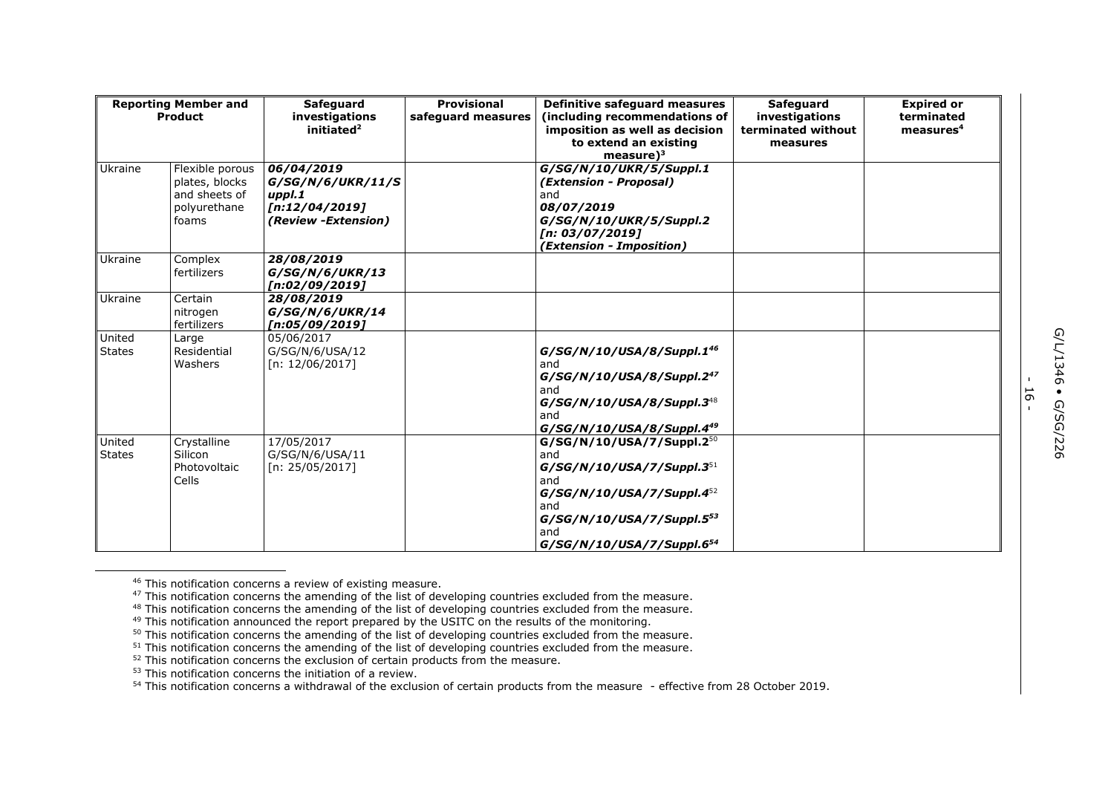| <b>Reporting Member and</b><br><b>Product</b> |                                                                             | <b>Safeguard</b><br>investigations<br>initiated $2$                                | <b>Provisional</b><br>safeguard measures | Definitive safeguard measures<br>(including recommendations of<br>imposition as well as decision<br>to extend an existing                                                                                        | Safeguard<br>investigations<br>terminated without | <b>Expired or</b><br>terminated<br>measures <sup>4</sup> |
|-----------------------------------------------|-----------------------------------------------------------------------------|------------------------------------------------------------------------------------|------------------------------------------|------------------------------------------------------------------------------------------------------------------------------------------------------------------------------------------------------------------|---------------------------------------------------|----------------------------------------------------------|
|                                               |                                                                             |                                                                                    |                                          | measure $)^3$                                                                                                                                                                                                    | measures                                          |                                                          |
| Ukraine                                       | Flexible porous<br>plates, blocks<br>and sheets of<br>polyurethane<br>foams | 06/04/2019<br>G/SG/N/6/UKR/11/S<br>uppl.1<br>[n:12/04/2019]<br>(Review -Extension) |                                          | G/SG/N/10/UKR/5/Suppl.1<br>(Extension - Proposal)<br>and<br>08/07/2019<br>G/SG/N/10/UKR/5/Suppl.2<br>[n: 03/07/2019]<br>(Extension - Imposition)                                                                 |                                                   |                                                          |
| Ukraine                                       | Complex<br>fertilizers                                                      | 28/08/2019<br>G/SG/N/6/UKR/13<br>[n:02/09/2019]                                    |                                          |                                                                                                                                                                                                                  |                                                   |                                                          |
| Ukraine                                       | Certain<br>nitrogen<br>fertilizers                                          | 28/08/2019<br>G/SG/N/6/UKR/14<br>[n:05/09/2019]                                    |                                          |                                                                                                                                                                                                                  |                                                   |                                                          |
| United<br><b>States</b>                       | Large<br>Residential<br>Washers                                             | 05/06/2017<br>G/SG/N/6/USA/12<br>[n: 12/06/2017]                                   |                                          | G/SG/N/10/USA/8/Suppl.1 <sup>46</sup><br>and<br>G/SG/N/10/USA/8/Suppl.247<br>and<br>G/SG/N/10/USA/8/Suppl.348<br>and<br>G/SG/N/10/USA/8/Suppl.449                                                                |                                                   |                                                          |
| United<br><b>States</b>                       | Crystalline<br>Silicon<br>Photovoltaic<br>Cells                             | 17/05/2017<br>G/SG/N/6/USA/11<br>[n: 25/05/2017]                                   |                                          | $G/SG/N/10/USA/7/Suppl.2^{50}$<br>and<br>$G/SG/N/10/USA/7/Suppl.3^{51}$<br>and<br>$G/SG/N/10/USA/7/Suppl.4^{52}$<br>and<br>G/SG/N/10/USA/Z/Suppl.5 <sup>53</sup><br>and<br>G/SG/N/10/USA/7/Suppl.6 <sup>54</sup> |                                                   |                                                          |

<sup>&</sup>lt;sup>46</sup> This notification concerns a review of existing measure.

- ا<br>-

<sup>47</sup> This notification concerns the amending of the list of developing countries excluded from the measure.

<sup>&</sup>lt;sup>48</sup> This notification concerns the amending of the list of developing countries excluded from the measure.

<sup>&</sup>lt;sup>49</sup> This notification announced the report prepared by the USITC on the results of the monitoring.

<sup>50</sup> This notification concerns the amending of the list of developing countries excluded from the measure.

<sup>&</sup>lt;sup>51</sup> This notification concerns the amending of the list of developing countries excluded from the measure.

 $52$  This notification concerns the exclusion of certain products from the measure.

<sup>&</sup>lt;sup>53</sup> This notification concerns the initiation of a review.

<sup>54</sup> This notification concerns a withdrawal of the exclusion of certain products from the measure - effective from 28 October 2019.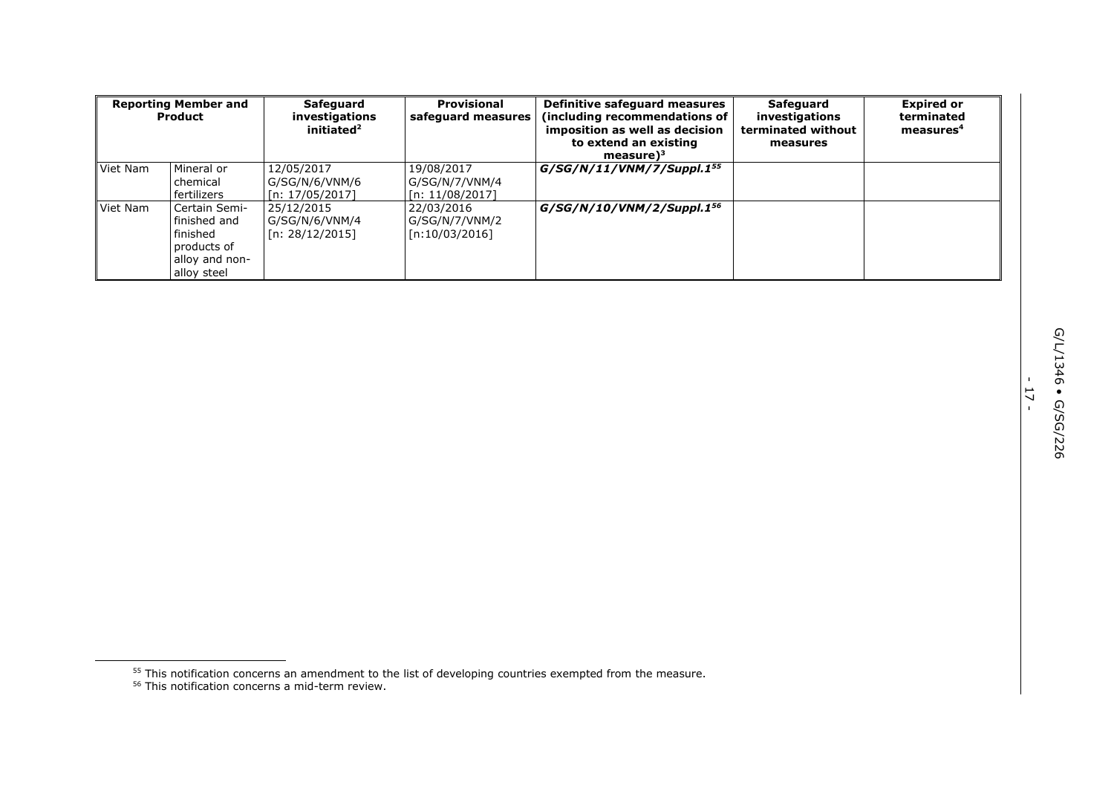| <b>Reporting Member and</b><br>Product |                                                                                           | Safeguard<br>investigations<br>initiated <sup>2</sup> | <b>Provisional</b><br>safeguard measures        | Definitive safeguard measures<br>(including recommendations of<br>imposition as well as decision<br>to extend an existing<br>measure $)^3$ | Safeguard<br>investigations<br>terminated without<br>measures | <b>Expired or</b><br>terminated<br>measures <sup>4</sup> |
|----------------------------------------|-------------------------------------------------------------------------------------------|-------------------------------------------------------|-------------------------------------------------|--------------------------------------------------------------------------------------------------------------------------------------------|---------------------------------------------------------------|----------------------------------------------------------|
| Viet Nam                               | Mineral or<br>chemical<br>fertilizers                                                     | 12/05/2017<br>G/SG/N/6/VNM/6<br>[n: 17/05/2017]       | 19/08/2017<br>G/SG/N/7/VNM/4<br>[n: 11/08/2017] | $G/SG/N/11/VNM/7/Suppl.1^{55}$                                                                                                             |                                                               |                                                          |
| Viet Nam                               | Certain Semi-<br>finished and<br>finished<br>products of<br>alloy and non-<br>alloy steel | 25/12/2015<br>G/SG/N/6/VNM/4<br>[n: 28/12/2015]       | 22/03/2016<br>G/SG/N/7/VNM/2<br>[n:10/03/2016]  | $G/SG/N/10/VNM/2/Suppl.1^{56}$                                                                                                             |                                                               |                                                          |

- 17 -

<sup>&</sup>lt;sup>55</sup> This notification concerns an amendment to the list of developing countries exempted from the measure.

<sup>56</sup> This notification concerns a mid-term review.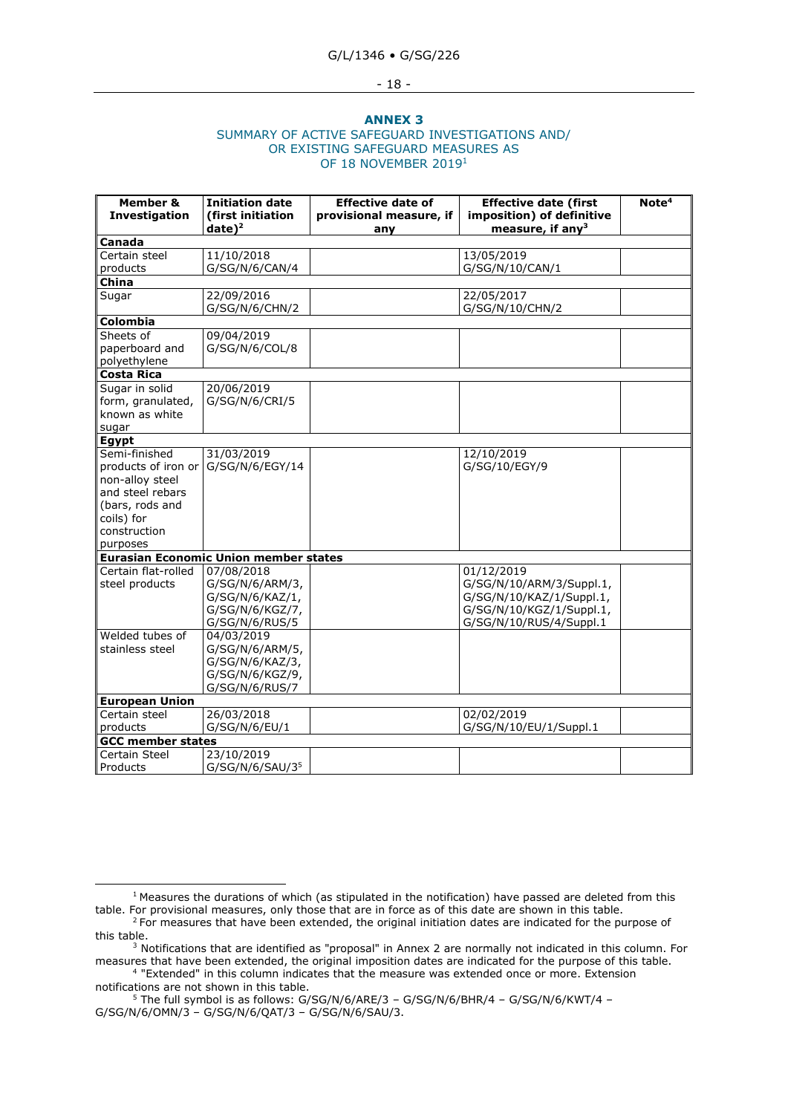#### - 18 -

#### **ANNEX 3**

#### SUMMARY OF ACTIVE SAFEGUARD INVESTIGATIONS AND/ OR EXISTING SAFEGUARD MEASURES AS OF 18 NOVEMBER 2019<sup>1</sup>

| Member &<br>Investigation | <b>Initiation date</b><br>(first initiation  | <b>Effective date of</b><br>provisional measure, if | <b>Effective date (first</b><br>imposition) of definitive | Note <sup>4</sup> |  |
|---------------------------|----------------------------------------------|-----------------------------------------------------|-----------------------------------------------------------|-------------------|--|
|                           | $date)^2$                                    | any                                                 | measure, if any $3$                                       |                   |  |
| Canada                    |                                              |                                                     |                                                           |                   |  |
| Certain steel             | 11/10/2018                                   |                                                     | 13/05/2019                                                |                   |  |
| products                  | G/SG/N/6/CAN/4                               |                                                     | G/SG/N/10/CAN/1                                           |                   |  |
| China                     |                                              |                                                     |                                                           |                   |  |
| Sugar                     | 22/09/2016                                   |                                                     | 22/05/2017                                                |                   |  |
|                           | G/SG/N/6/CHN/2                               |                                                     | G/SG/N/10/CHN/2                                           |                   |  |
| Colombia                  |                                              |                                                     |                                                           |                   |  |
| Sheets of                 | 09/04/2019                                   |                                                     |                                                           |                   |  |
| paperboard and            | G/SG/N/6/COL/8                               |                                                     |                                                           |                   |  |
| polyethylene              |                                              |                                                     |                                                           |                   |  |
| <b>Costa Rica</b>         |                                              |                                                     |                                                           |                   |  |
| Sugar in solid            | 20/06/2019                                   |                                                     |                                                           |                   |  |
| form, granulated,         | G/SG/N/6/CRI/5                               |                                                     |                                                           |                   |  |
| known as white            |                                              |                                                     |                                                           |                   |  |
| sugar                     |                                              |                                                     |                                                           |                   |  |
| <b>Egypt</b>              |                                              |                                                     |                                                           |                   |  |
| Semi-finished             | 31/03/2019                                   |                                                     | 12/10/2019                                                |                   |  |
| products of iron or       | G/SG/N/6/EGY/14                              |                                                     | G/SG/10/EGY/9                                             |                   |  |
| non-alloy steel           |                                              |                                                     |                                                           |                   |  |
| and steel rebars          |                                              |                                                     |                                                           |                   |  |
| (bars, rods and           |                                              |                                                     |                                                           |                   |  |
| coils) for                |                                              |                                                     |                                                           |                   |  |
| construction              |                                              |                                                     |                                                           |                   |  |
| purposes                  |                                              |                                                     |                                                           |                   |  |
|                           | <b>Eurasian Economic Union member states</b> |                                                     |                                                           |                   |  |
| Certain flat-rolled       | 07/08/2018                                   |                                                     | 01/12/2019                                                |                   |  |
| steel products            | G/SG/N/6/ARM/3,                              |                                                     | G/SG/N/10/ARM/3/Suppl.1,                                  |                   |  |
|                           | G/SG/N/6/KAZ/1,                              |                                                     | G/SG/N/10/KAZ/1/Suppl.1,                                  |                   |  |
|                           | G/SG/N/6/KGZ/7,                              |                                                     | G/SG/N/10/KGZ/1/Suppl.1,                                  |                   |  |
|                           | G/SG/N/6/RUS/5                               |                                                     | G/SG/N/10/RUS/4/Suppl.1                                   |                   |  |
| Welded tubes of           | 04/03/2019                                   |                                                     |                                                           |                   |  |
| stainless steel           | G/SG/N/6/ARM/5,                              |                                                     |                                                           |                   |  |
|                           | G/SG/N/6/KAZ/3,                              |                                                     |                                                           |                   |  |
|                           | G/SG/N/6/KGZ/9,                              |                                                     |                                                           |                   |  |
|                           | G/SG/N/6/RUS/7                               |                                                     |                                                           |                   |  |
| <b>European Union</b>     |                                              |                                                     |                                                           |                   |  |
| Certain steel             | 26/03/2018                                   |                                                     | 02/02/2019                                                |                   |  |
| products                  | G/SG/N/6/EU/1                                |                                                     | G/SG/N/10/EU/1/Suppl.1                                    |                   |  |
|                           | <b>GCC member states</b>                     |                                                     |                                                           |                   |  |
| Certain Steel             | 23/10/2019                                   |                                                     |                                                           |                   |  |
| Products                  | G/SG/N/6/SAU/3 <sup>5</sup>                  |                                                     |                                                           |                   |  |

 $1$  Measures the durations of which (as stipulated in the notification) have passed are deleted from this table. For provisional measures, only those that are in force as of this date are shown in this table.

<sup>&</sup>lt;sup>2</sup> For measures that have been extended, the original initiation dates are indicated for the purpose of this table.

 $3$  Notifications that are identified as "proposal" in Annex 2 are normally not indicated in this column. For measures that have been extended, the original imposition dates are indicated for the purpose of this table.

<sup>4</sup> "Extended" in this column indicates that the measure was extended once or more. Extension notifications are not shown in this table.

<sup>5</sup> The full symbol is as follows: G/SG/N/6/ARE/3 – G/SG/N/6/BHR/4 – G/SG/N/6/KWT/4 – G/SG/N/6/OMN/3 – G/SG/N/6/QAT/3 – G/SG/N/6/SAU/3.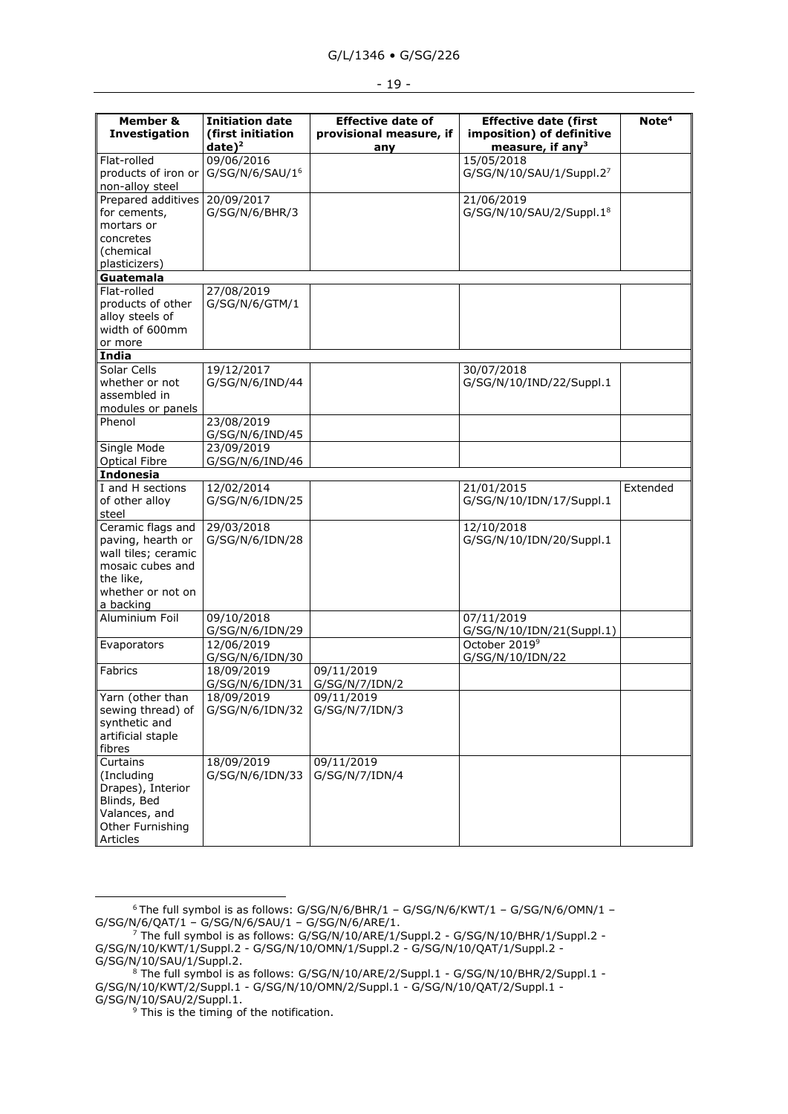|  | K.<br>۰,<br>۰. |  |
|--|----------------|--|
|--|----------------|--|

| Member &<br>Investigation | <b>Initiation date</b><br>(first initiation<br>$date)^2$ | <b>Effective date of</b><br>provisional measure, if<br>any | <b>Effective date (first</b><br>imposition) of definitive<br>measure, if any <sup>3</sup> | Note <sup>4</sup> |
|---------------------------|----------------------------------------------------------|------------------------------------------------------------|-------------------------------------------------------------------------------------------|-------------------|
| Flat-rolled               | 09/06/2016                                               |                                                            | 15/05/2018                                                                                |                   |
| products of iron or       | G/SG/N/6/SAU/1 <sup>6</sup>                              |                                                            | G/SG/N/10/SAU/1/Suppl.27                                                                  |                   |
| non-alloy steel           |                                                          |                                                            |                                                                                           |                   |
| Prepared additives        | 20/09/2017                                               |                                                            | 21/06/2019                                                                                |                   |
| for cements,              | G/SG/N/6/BHR/3                                           |                                                            | G/SG/N/10/SAU/2/Suppl.1 <sup>8</sup>                                                      |                   |
| mortars or                |                                                          |                                                            |                                                                                           |                   |
| concretes                 |                                                          |                                                            |                                                                                           |                   |
| (chemical                 |                                                          |                                                            |                                                                                           |                   |
| plasticizers)             |                                                          |                                                            |                                                                                           |                   |
| Guatemala                 |                                                          |                                                            |                                                                                           |                   |
| Flat-rolled               | 27/08/2019                                               |                                                            |                                                                                           |                   |
| products of other         | G/SG/N/6/GTM/1                                           |                                                            |                                                                                           |                   |
| alloy steels of           |                                                          |                                                            |                                                                                           |                   |
| width of 600mm            |                                                          |                                                            |                                                                                           |                   |
| or more                   |                                                          |                                                            |                                                                                           |                   |
| India                     |                                                          |                                                            |                                                                                           |                   |
| Solar Cells               | 19/12/2017                                               |                                                            | 30/07/2018                                                                                |                   |
| whether or not            | G/SG/N/6/IND/44                                          |                                                            | G/SG/N/10/IND/22/Suppl.1                                                                  |                   |
| assembled in              |                                                          |                                                            |                                                                                           |                   |
|                           |                                                          |                                                            |                                                                                           |                   |
| modules or panels         | 23/08/2019                                               |                                                            |                                                                                           |                   |
| Phenol                    |                                                          |                                                            |                                                                                           |                   |
|                           | G/SG/N/6/IND/45                                          |                                                            |                                                                                           |                   |
| Single Mode               | 23/09/2019                                               |                                                            |                                                                                           |                   |
| <b>Optical Fibre</b>      | G/SG/N/6/IND/46                                          |                                                            |                                                                                           |                   |
| <b>Indonesia</b>          |                                                          |                                                            |                                                                                           |                   |
| I and H sections          | 12/02/2014                                               |                                                            | 21/01/2015                                                                                | Extended          |
| of other alloy            | G/SG/N/6/IDN/25                                          |                                                            | G/SG/N/10/IDN/17/Suppl.1                                                                  |                   |
| steel                     |                                                          |                                                            |                                                                                           |                   |
| Ceramic flags and         | 29/03/2018                                               |                                                            | 12/10/2018                                                                                |                   |
| paving, hearth or         | G/SG/N/6/IDN/28                                          |                                                            | G/SG/N/10/IDN/20/Suppl.1                                                                  |                   |
| wall tiles; ceramic       |                                                          |                                                            |                                                                                           |                   |
| mosaic cubes and          |                                                          |                                                            |                                                                                           |                   |
| the like,                 |                                                          |                                                            |                                                                                           |                   |
| whether or not on         |                                                          |                                                            |                                                                                           |                   |
| a backing                 |                                                          |                                                            |                                                                                           |                   |
| Aluminium Foil            | 09/10/2018                                               |                                                            | 07/11/2019                                                                                |                   |
|                           | G/SG/N/6/IDN/29                                          |                                                            | G/SG/N/10/IDN/21(Suppl.1)                                                                 |                   |
| Evaporators               | 12/06/2019                                               |                                                            | October 2019 <sup>9</sup>                                                                 |                   |
|                           | G/SG/N/6/IDN/30                                          |                                                            | G/SG/N/10/IDN/22                                                                          |                   |
| Fabrics                   | 18/09/2019                                               | 09/11/2019                                                 |                                                                                           |                   |
|                           | G/SG/N/6/IDN/31                                          | G/SG/N/7/IDN/2                                             |                                                                                           |                   |
| Yarn (other than          | 18/09/2019                                               | 09/11/2019                                                 |                                                                                           |                   |
| sewing thread) of         | G/SG/N/6/IDN/32                                          | G/SG/N/7/IDN/3                                             |                                                                                           |                   |
| synthetic and             |                                                          |                                                            |                                                                                           |                   |
| artificial staple         |                                                          |                                                            |                                                                                           |                   |
| fibres                    |                                                          |                                                            |                                                                                           |                   |
| Curtains                  | 18/09/2019                                               | 09/11/2019                                                 |                                                                                           |                   |
| (Including                | G/SG/N/6/IDN/33                                          | G/SG/N/7/IDN/4                                             |                                                                                           |                   |
| Drapes), Interior         |                                                          |                                                            |                                                                                           |                   |
| Blinds, Bed               |                                                          |                                                            |                                                                                           |                   |
| Valances, and             |                                                          |                                                            |                                                                                           |                   |
|                           |                                                          |                                                            |                                                                                           |                   |
| Other Furnishing          |                                                          |                                                            |                                                                                           |                   |

 $6$  The full symbol is as follows: G/SG/N/6/BHR/1 – G/SG/N/6/KWT/1 – G/SG/N/6/OMN/1 – G/SG/N/6/QAT/1 – G/SG/N/6/SAU/1 – G/SG/N/6/ARE/1.

 $^7$  The full symbol is as follows: G/SG/N/10/ARE/1/Suppl.2 - G/SG/N/10/BHR/1/Suppl.2 -G/SG/N/10/KWT/1/Suppl.2 - G/SG/N/10/OMN/1/Suppl.2 - G/SG/N/10/QAT/1/Suppl.2 - G/SG/N/10/SAU/1/Suppl.2.

<sup>8</sup> The full symbol is as follows: G/SG/N/10/ARE/2/Suppl.1 - G/SG/N/10/BHR/2/Suppl.1 - G/SG/N/10/KWT/2/Suppl.1 - G/SG/N/10/OMN/2/Suppl.1 - G/SG/N/10/QAT/2/Suppl.1 - G/SG/N/10/SAU/2/Suppl.1.

 $9$  This is the timing of the notification.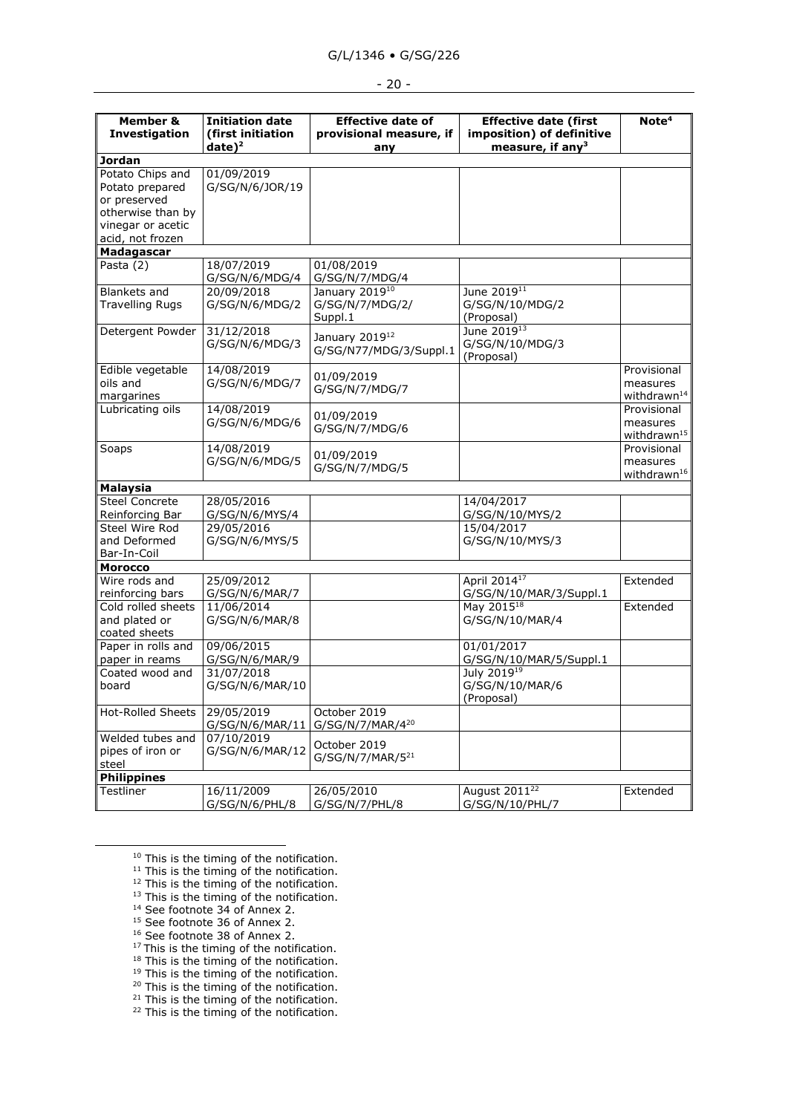# G/L/1346 • G/SG/226

### - 20 -

| Member &<br>Investigation                                                                     | <b>Initiation date</b><br>(first initiation | <b>Effective date of</b><br>provisional measure, if  | <b>Effective date (first</b><br>imposition) of definitive | Note <sup>4</sup>                                  |
|-----------------------------------------------------------------------------------------------|---------------------------------------------|------------------------------------------------------|-----------------------------------------------------------|----------------------------------------------------|
|                                                                                               | $date)^2$                                   | any                                                  | measure, if any $3$                                       |                                                    |
| <b>Jordan</b>                                                                                 |                                             |                                                      |                                                           |                                                    |
| Potato Chips and<br>Potato prepared<br>or preserved<br>otherwise than by<br>vinegar or acetic | 01/09/2019<br>G/SG/N/6/JOR/19               |                                                      |                                                           |                                                    |
| acid, not frozen                                                                              |                                             |                                                      |                                                           |                                                    |
| Madagascar                                                                                    |                                             |                                                      |                                                           |                                                    |
| Pasta (2)                                                                                     | 18/07/2019                                  | 01/08/2019                                           |                                                           |                                                    |
|                                                                                               | G/SG/N/6/MDG/4                              | G/SG/N/7/MDG/4                                       |                                                           |                                                    |
| Blankets and<br><b>Travelling Rugs</b>                                                        | 20/09/2018<br>G/SG/N/6/MDG/2                | January 201910<br>G/SG/N/7/MDG/2/<br>Suppl.1         | June 2019 <sup>11</sup><br>G/SG/N/10/MDG/2<br>(Proposal)  |                                                    |
| Detergent Powder                                                                              | 31/12/2018<br>G/SG/N/6/MDG/3                | January 2019 <sup>12</sup><br>G/SG/N77/MDG/3/Suppl.1 | June 2019 <sup>13</sup><br>G/SG/N/10/MDG/3<br>(Proposal)  |                                                    |
| Edible vegetable<br>oils and<br>margarines                                                    | 14/08/2019<br>G/SG/N/6/MDG/7                | 01/09/2019<br>G/SG/N/7/MDG/7                         |                                                           | Provisional<br>measures<br>withdrawn <sup>14</sup> |
| Lubricating oils                                                                              | 14/08/2019<br>G/SG/N/6/MDG/6                | 01/09/2019<br>G/SG/N/7/MDG/6                         |                                                           | Provisional<br>measures<br>withdrawn <sup>15</sup> |
| Soaps                                                                                         | 14/08/2019<br>G/SG/N/6/MDG/5                | 01/09/2019<br>G/SG/N/7/MDG/5                         |                                                           | Provisional<br>measures<br>withdrawn <sup>16</sup> |
| <b>Malaysia</b>                                                                               |                                             |                                                      |                                                           |                                                    |
| <b>Steel Concrete</b>                                                                         | 28/05/2016                                  |                                                      | 14/04/2017                                                |                                                    |
| Reinforcing Bar                                                                               | G/SG/N/6/MYS/4                              |                                                      | G/SG/N/10/MYS/2                                           |                                                    |
| Steel Wire Rod<br>and Deformed<br>Bar-In-Coil                                                 | 29/05/2016<br>G/SG/N/6/MYS/5                |                                                      | 15/04/2017<br>G/SG/N/10/MYS/3                             |                                                    |
| <b>Morocco</b>                                                                                |                                             |                                                      |                                                           |                                                    |
| Wire rods and                                                                                 | 25/09/2012                                  |                                                      | April 2014 <sup>17</sup>                                  | Extended                                           |
| reinforcing bars                                                                              | G/SG/N/6/MAR/7                              |                                                      | G/SG/N/10/MAR/3/Suppl.1                                   |                                                    |
| Cold rolled sheets<br>and plated or<br>coated sheets                                          | 11/06/2014<br>G/SG/N/6/MAR/8                |                                                      | May 2015 <sup>18</sup><br>G/SG/N/10/MAR/4                 | Extended                                           |
| Paper in rolls and                                                                            | 09/06/2015                                  |                                                      | 01/01/2017                                                |                                                    |
| paper in reams                                                                                | G/SG/N/6/MAR/9                              |                                                      | G/SG/N/10/MAR/5/Suppl.1                                   |                                                    |
| Coated wood and<br>board                                                                      | 31/07/2018<br>G/SG/N/6/MAR/10               |                                                      | July 2019 <sup>19</sup><br>G/SG/N/10/MAR/6<br>(Proposal)  |                                                    |
| <b>Hot-Rolled Sheets</b>                                                                      | 29/05/2019<br>G/SG/N/6/MAR/11               | October 2019<br>G/SG/N/7/MAR/420                     |                                                           |                                                    |
| Welded tubes and<br>pipes of iron or<br>steel                                                 | 07/10/2019<br>G/SG/N/6/MAR/12               | October 2019<br>G/SG/N/7/MAR/5 <sup>21</sup>         |                                                           |                                                    |
| <b>Philippines</b>                                                                            |                                             |                                                      |                                                           |                                                    |
| Testliner                                                                                     | 16/11/2009<br>G/SG/N/6/PHL/8                | 26/05/2010<br>G/SG/N/7/PHL/8                         | August 2011 <sup>22</sup><br>G/SG/N/10/PHL/7              | Extended                                           |

 $10$  This is the timing of the notification.

<sup>14</sup> See footnote 34 of Annex 2.

- <sup>15</sup> See footnote 36 of Annex 2.
- <sup>16</sup> See footnote 38 of Annex 2.
- $17$  This is the timing of the notification.
- $18$  This is the timing of the notification.
- <sup>19</sup> This is the timing of the notification. <sup>20</sup> This is the timing of the notification.
- 
- $21$  This is the timing of the notification.
- $22$  This is the timing of the notification.

 $11$  This is the timing of the notification.

 $12$  This is the timing of the notification.

<sup>&</sup>lt;sup>13</sup> This is the timing of the notification.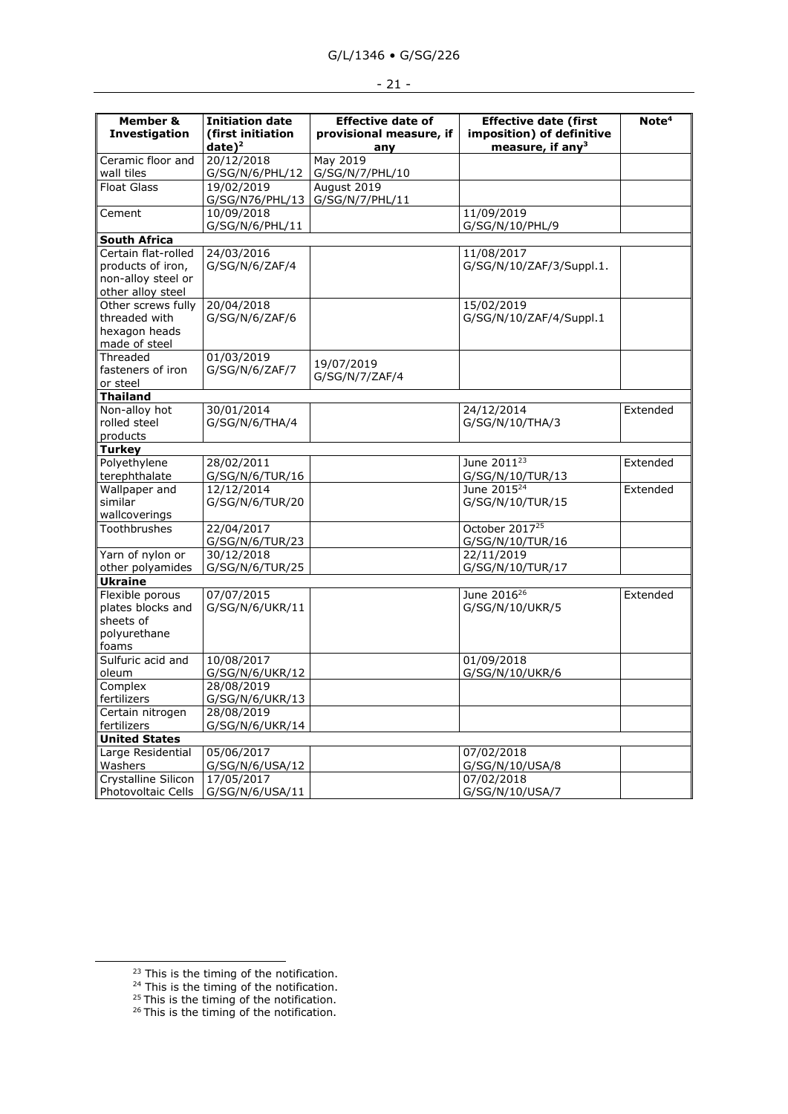| Member &<br>Investigation        | <b>Initiation date</b><br>(first initiation | <b>Effective date of</b><br>provisional measure, if | <b>Effective date (first</b><br>imposition) of definitive | Note <sup>4</sup> |
|----------------------------------|---------------------------------------------|-----------------------------------------------------|-----------------------------------------------------------|-------------------|
|                                  |                                             |                                                     | measure, if any <sup>3</sup>                              |                   |
| Ceramic floor and                | $date)^2$<br>20/12/2018                     | any<br>May 2019                                     |                                                           |                   |
|                                  |                                             |                                                     |                                                           |                   |
| wall tiles<br><b>Float Glass</b> | G/SG/N/6/PHL/12                             | G/SG/N/7/PHL/10                                     |                                                           |                   |
|                                  | 19/02/2019                                  | August 2019                                         |                                                           |                   |
|                                  | G/SG/N76/PHL/13                             | G/SG/N/7/PHL/11                                     |                                                           |                   |
| Cement                           | 10/09/2018                                  |                                                     | 11/09/2019                                                |                   |
|                                  | G/SG/N/6/PHL/11                             |                                                     | G/SG/N/10/PHL/9                                           |                   |
| <b>South Africa</b>              |                                             |                                                     |                                                           |                   |
| Certain flat-rolled              | 24/03/2016                                  |                                                     | 11/08/2017                                                |                   |
| products of iron,                | G/SG/N/6/ZAF/4                              |                                                     | G/SG/N/10/ZAF/3/Suppl.1.                                  |                   |
| non-alloy steel or               |                                             |                                                     |                                                           |                   |
| other alloy steel                |                                             |                                                     |                                                           |                   |
| Other screws fully               | 20/04/2018                                  |                                                     | 15/02/2019                                                |                   |
| threaded with                    | G/SG/N/6/ZAF/6                              |                                                     | G/SG/N/10/ZAF/4/Suppl.1                                   |                   |
| hexagon heads                    |                                             |                                                     |                                                           |                   |
| made of steel                    |                                             |                                                     |                                                           |                   |
| Threaded                         | 01/03/2019                                  | 19/07/2019                                          |                                                           |                   |
| fasteners of iron                | G/SG/N/6/ZAF/7                              | G/SG/N/7/ZAF/4                                      |                                                           |                   |
| or steel                         |                                             |                                                     |                                                           |                   |
| <b>Thailand</b>                  |                                             |                                                     |                                                           |                   |
| Non-alloy hot                    | 30/01/2014                                  |                                                     | 24/12/2014                                                | Extended          |
| rolled steel                     | G/SG/N/6/THA/4                              |                                                     | G/SG/N/10/THA/3                                           |                   |
| products                         |                                             |                                                     |                                                           |                   |
| <b>Turkey</b>                    |                                             |                                                     |                                                           |                   |
| Polyethylene                     | 28/02/2011                                  |                                                     | June 2011 <sup>23</sup>                                   | Extended          |
| terephthalate                    | G/SG/N/6/TUR/16                             |                                                     | G/SG/N/10/TUR/13                                          |                   |
| Wallpaper and                    | 12/12/2014                                  |                                                     | June 2015 <sup>24</sup>                                   | Extended          |
| similar                          | G/SG/N/6/TUR/20                             |                                                     | G/SG/N/10/TUR/15                                          |                   |
| wallcoverings                    |                                             |                                                     |                                                           |                   |
| Toothbrushes                     | 22/04/2017                                  |                                                     | October 2017 <sup>25</sup>                                |                   |
|                                  | G/SG/N/6/TUR/23                             |                                                     | G/SG/N/10/TUR/16                                          |                   |
| Yarn of nylon or                 | 30/12/2018                                  |                                                     | 22/11/2019                                                |                   |
| other polyamides                 | G/SG/N/6/TUR/25                             |                                                     | G/SG/N/10/TUR/17                                          |                   |
| <b>Ukraine</b>                   |                                             |                                                     |                                                           |                   |
| Flexible porous                  | 07/07/2015                                  |                                                     | June 2016 <sup>26</sup>                                   | Extended          |
| plates blocks and                | G/SG/N/6/UKR/11                             |                                                     | G/SG/N/10/UKR/5                                           |                   |
| sheets of                        |                                             |                                                     |                                                           |                   |
| polyurethane                     |                                             |                                                     |                                                           |                   |
| foams                            |                                             |                                                     |                                                           |                   |
| Sulfuric acid and                | 10/08/2017                                  |                                                     | 01/09/2018                                                |                   |
| oleum                            | G/SG/N/6/UKR/12                             |                                                     | G/SG/N/10/UKR/6                                           |                   |
| Complex                          | 28/08/2019                                  |                                                     |                                                           |                   |
| fertilizers                      | G/SG/N/6/UKR/13                             |                                                     |                                                           |                   |
| Certain nitrogen                 | 28/08/2019                                  |                                                     |                                                           |                   |
| fertilizers                      | G/SG/N/6/UKR/14                             |                                                     |                                                           |                   |
| <b>United States</b>             |                                             |                                                     |                                                           |                   |
| Large Residential                | 05/06/2017                                  |                                                     | 07/02/2018                                                |                   |
| Washers                          |                                             |                                                     |                                                           |                   |
| Crystalline Silicon              | G/SG/N/6/USA/12                             |                                                     | G/SG/N/10/USA/8                                           |                   |
|                                  | 17/05/2017                                  |                                                     | 07/02/2018                                                |                   |
| Photovoltaic Cells               | G/SG/N/6/USA/11                             |                                                     | G/SG/N/10/USA/7                                           |                   |

- $24$  This is the timing of the notification.
- $25$  This is the timing of the notification.
- $26$  This is the timing of the notification.

 $23$  This is the timing of the notification.